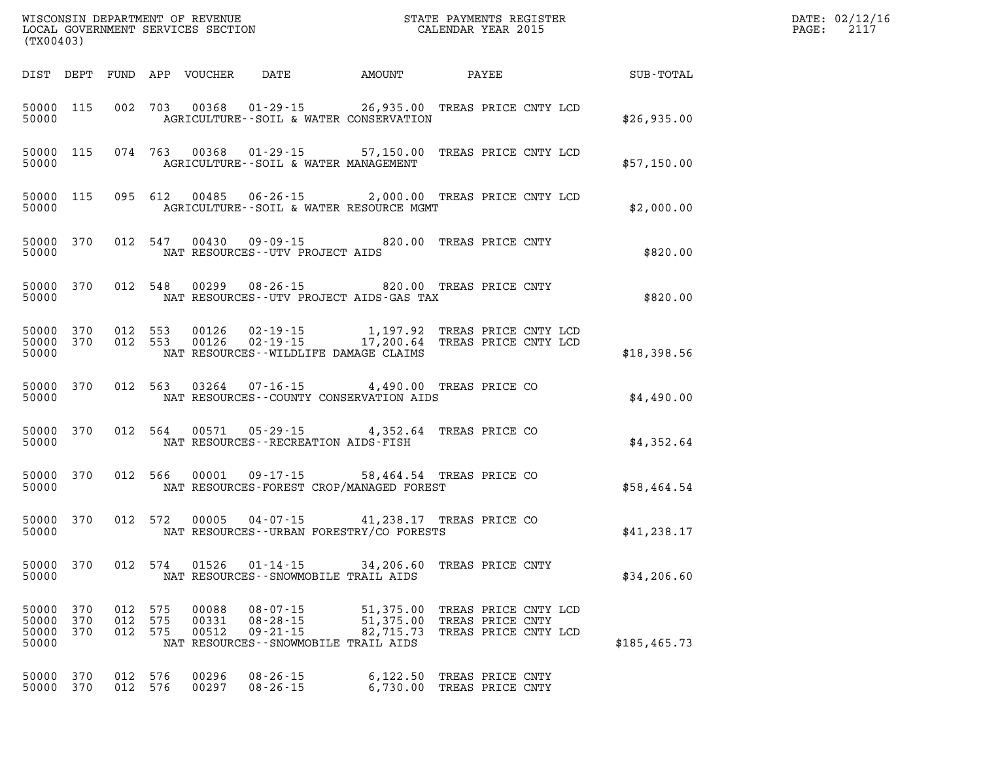| DATE: | 02/12/16 |
|-------|----------|
| PAGE: | 2117     |

| (TX00403)                            |            |                           |     |                         |                                                                                                                                                                             |                                       |                                                                  |  | DATE: 02/12/1<br>$\mathtt{PAGE:}$<br>2117              |  |
|--------------------------------------|------------|---------------------------|-----|-------------------------|-----------------------------------------------------------------------------------------------------------------------------------------------------------------------------|---------------------------------------|------------------------------------------------------------------|--|--------------------------------------------------------|--|
|                                      |            |                           |     |                         |                                                                                                                                                                             |                                       |                                                                  |  | DIST DEPT FUND APP VOUCHER DATE AMOUNT PAYEE SUB-TOTAL |  |
| 50000                                |            |                           |     |                         | 50000 115 002 703 00368 01-29-15 26,935.00 TREAS PRICE CNTY LCD<br>AGRICULTURE--SOIL & WATER CONSERVATION                                                                   |                                       |                                                                  |  | \$26,935.00                                            |  |
| 50000                                |            |                           |     |                         | 50000 115 074 763 00368 01-29-15 57,150.00 TREAS PRICE CNTY LCD<br>AGRICULTURE--SOIL & WATER MANAGEMENT                                                                     |                                       |                                                                  |  | \$57,150.00                                            |  |
| 50000                                |            |                           |     |                         | 50000 115 095 612 00485 06-26-15 2,000.00 TREAS PRICE CNTY LCD<br>AGRICULTURE--SOIL & WATER RESOURCE MGMT                                                                   |                                       |                                                                  |  | \$2,000.00                                             |  |
| 50000                                |            |                           |     |                         | 50000 370 012 547 00430 09-09-15 820.00 TREAS PRICE CNTY<br>NAT RESOURCES--UTV PROJECT AIDS                                                                                 |                                       |                                                                  |  | \$820.00                                               |  |
| 50000                                |            |                           |     |                         | 50000 370 012 548 00299 08-26-15 820.00 TREAS PRICE CNTY<br>NAT RESOURCES--UTV PROJECT AIDS-GAS TAX                                                                         |                                       |                                                                  |  | \$820.00                                               |  |
|                                      | 50000      |                           |     |                         | 50000 370 012 553 00126 02-19-15 1,197.92 TREAS PRICE CNTY LCD<br>50000 370 012 553 00126 02-19-15 17,200.64 TREAS PRICE CNTY LCD<br>NAT RESOURCES - WILDLIFE DAMAGE CLAIMS |                                       |                                                                  |  | \$18,398.56                                            |  |
|                                      | 50000      |                           |     |                         | 50000 370 012 563 03264 07-16-15 4,490.00 TREAS PRICE CO<br>NAT RESOURCES - COUNTY CONSERVATION AIDS                                                                        |                                       |                                                                  |  | \$4,490.00                                             |  |
|                                      | 50000      |                           |     |                         | 50000 370 012 564 00571 05-29-15 4,352.64 TREAS PRICE CO<br>NAT RESOURCES - - RECREATION AIDS - FISH                                                                        |                                       |                                                                  |  | \$4,352.64                                             |  |
|                                      | 50000      |                           |     |                         | 50000 370 012 566 00001 09-17-15 58,464.54 TREAS PRICE CO<br>NAT RESOURCES-FOREST CROP/MANAGED FOREST                                                                       |                                       |                                                                  |  | \$58,464.54                                            |  |
|                                      |            |                           |     |                         | 50000 370 012 572 00005 04-07-15 41,238.17 TREAS PRICE CO<br>50000 MAT RESOURCES--URBAN FORESTRY/CO FORESTS                                                                 |                                       |                                                                  |  | \$41,238.17                                            |  |
| 50000                                |            |                           |     |                         | 50000 370 012 574 01526 01-14-15 34,206.60 TREAS PRICE CNTY<br>NAT RESOURCES - - SNOWMOBILE TRAIL AIDS                                                                      |                                       |                                                                  |  | \$34, 206.60                                           |  |
| 50000 370<br>50000<br>50000<br>50000 | 370<br>370 | 012 575<br>012<br>012 575 | 575 | 00088<br>00331<br>00512 | $08 - 07 - 15$<br>$08 - 28 - 15$<br>$09 - 21 - 15$<br>NAT RESOURCES - - SNOWMOBILE TRAIL AIDS                                                                               | 51,375.00<br>51,375.00<br>82, 715. 73 | TREAS PRICE CNTY LCD<br>TREAS PRICE CNTY<br>TREAS PRICE CNTY LCD |  | \$185, 465.73                                          |  |
| 50000<br>50000                       | 370<br>370 | 012 576<br>012 576        |     | 00296<br>00297          | $08 - 26 - 15$<br>$08 - 26 - 15$                                                                                                                                            | 6,122.50                              | TREAS PRICE CNTY<br>6,730.00 TREAS PRICE CNTY                    |  |                                                        |  |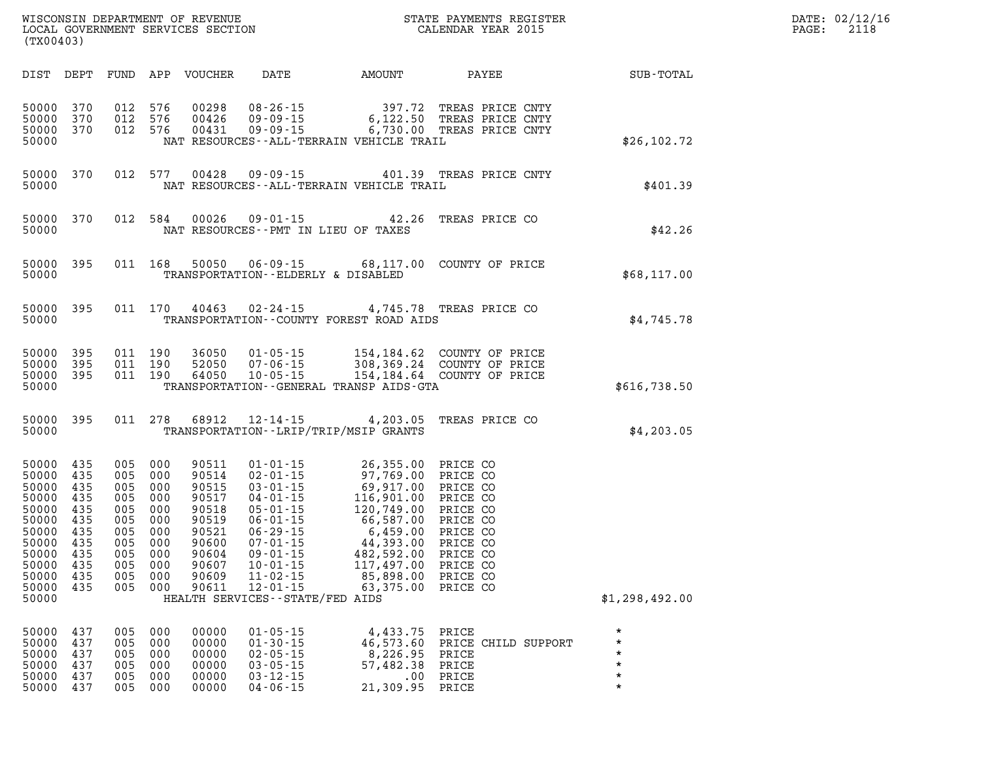| DATE: | 02/12/16 |
|-------|----------|
| PAGE: | 2118     |

| (TX00403)                                                                                                                                                                                       | LOCAL GOVERNMENT SERVICES SECTION                                                                                                                                                                                                                                                                                      | CALENDAR YEAR 2015                                                                                                                                                                                                                                                                                                      |                                                     | PAGE: | 2118 |
|-------------------------------------------------------------------------------------------------------------------------------------------------------------------------------------------------|------------------------------------------------------------------------------------------------------------------------------------------------------------------------------------------------------------------------------------------------------------------------------------------------------------------------|-------------------------------------------------------------------------------------------------------------------------------------------------------------------------------------------------------------------------------------------------------------------------------------------------------------------------|-----------------------------------------------------|-------|------|
|                                                                                                                                                                                                 |                                                                                                                                                                                                                                                                                                                        | DIST DEPT FUND APP VOUCHER DATE AMOUNT PAYEE PATE SUB-TOTAL                                                                                                                                                                                                                                                             |                                                     |       |      |
| 50000<br>370<br>50000<br>370<br>50000 370<br>50000                                                                                                                                              | 012 576<br>00298<br>012 576<br>00426<br>012 576<br>00431<br>NAT RESOURCES--ALL-TERRAIN VEHICLE TRAIL                                                                                                                                                                                                                   |                                                                                                                                                                                                                                                                                                                         | \$26, 102.72                                        |       |      |
| 50000 370<br>50000                                                                                                                                                                              | 012 577 00428 09-09-15 401.39 TREAS PRICE CNTY<br>NAT RESOURCES--ALL-TERRAIN VEHICLE TRAIL                                                                                                                                                                                                                             |                                                                                                                                                                                                                                                                                                                         | PRICE CNTY<br>\$401.39                              |       |      |
| 50000 370<br>50000                                                                                                                                                                              | 012 584 00026 09-01-15 42.26 TREAS PRICE CO<br>NAT RESOURCES -- PMT IN LIEU OF TAXES                                                                                                                                                                                                                                   |                                                                                                                                                                                                                                                                                                                         | \$42.26                                             |       |      |
| 50000 395<br>50000                                                                                                                                                                              | 011  168  50050  06-09-15  68,117.00  COUNTY OF PRICE<br>TRANSPORTATION--ELDERLY & DISABLED                                                                                                                                                                                                                            |                                                                                                                                                                                                                                                                                                                         | \$68,117.00                                         |       |      |
| 50000 395<br>50000                                                                                                                                                                              | 011 170 40463 02-24-15 4,745.78 TREAS PRICE CO<br>TRANSPORTATION--COUNTY FOREST ROAD AIDS                                                                                                                                                                                                                              |                                                                                                                                                                                                                                                                                                                         | \$4,745.78                                          |       |      |
| 50000<br>395<br>50000<br>395<br>50000<br>395<br>50000                                                                                                                                           | 011 190<br>011 190<br>011 190<br>TRANSPORTATION--GENERAL TRANSP AIDS-GTA                                                                                                                                                                                                                                               | 36050  01-05-15  154,184.62  COUNTY OF PRICE<br>52050  07-06-15  308,369.24  COUNTY OF PRICE<br>64050  10-05-15  154,184.64  COUNTY OF PRICE                                                                                                                                                                            | \$616,738.50                                        |       |      |
| 50000<br>395<br>50000                                                                                                                                                                           | 011 278 68912 12-14-15 4,203.05 TREAS PRICE CO<br>TRANSPORTATION - - LRIP/TRIP/MSIP GRANTS                                                                                                                                                                                                                             |                                                                                                                                                                                                                                                                                                                         | \$4, 203.05                                         |       |      |
| 50000<br>435<br>50000<br>435<br>435<br>50000<br>50000<br>435<br>435<br>50000<br>50000<br>435<br>435<br>50000<br>50000<br>435<br>435<br>50000<br>50000 435<br>50000 435<br>50000<br>435<br>50000 | 005 000<br>90511<br>005 000<br>90514<br>005 000<br>90515<br>005 000<br>90517<br>005 000<br>90518<br>005 000<br>90519<br>90521<br>005 000<br>005 000<br>90600<br>005 000<br>90604<br>005 000<br>90607<br>005 000<br>$11 - 02 - 15$<br>90609<br>005 000<br>90611<br>$12 - 01 - 15$<br>HEALTH SERVICES - - STATE/FED AIDS | 01-01-15<br>02-01-15<br>03-01-15<br>03-01-15<br>04-01-15<br>04-01-15<br>116,901.00<br>PRICE CO<br>06-01-15<br>120,749.00<br>PRICE CO<br>06-01-15<br>66,587.00<br>PRICE CO<br>06-29-15<br>6,459.00<br>PRICE CO<br>07-01-15<br>44,393.00<br>PRICE CO<br>09-01-15<br>482,59<br>85,898.00<br>PRICE CO<br>63,375.00 PRICE CO | \$1,298,492.00                                      |       |      |
| 50000<br>437<br>50000<br>437<br>005<br>50000<br>437<br>005<br>50000<br>437<br>005<br>50000<br>437                                                                                               | 00000<br>$01 - 05 - 15$<br>005 000<br>000<br>00000<br>$01 - 30 - 15$<br>00000<br>$02 - 05 - 15$<br>000<br>000<br>$03 - 05 - 15$<br>00000<br>00000<br>$03 - 12 - 15$<br>005 000                                                                                                                                         | 4,433.75 PRICE<br>46,573.60 PRICE CHILD SUPPORT<br>8,226.95 PRICE<br>57,482.38 PRICE<br>.00 PRICE                                                                                                                                                                                                                       | $\star$<br>$\star$<br>$\star$<br>$\star$<br>$\star$ |       |      |

**50000 437 005 000 00000 04-06-15 21,309.95 PRICE \*** 

WISCONSIN DEPARTMENT OF REVENUE **STATE PAYMENTS REGISTER**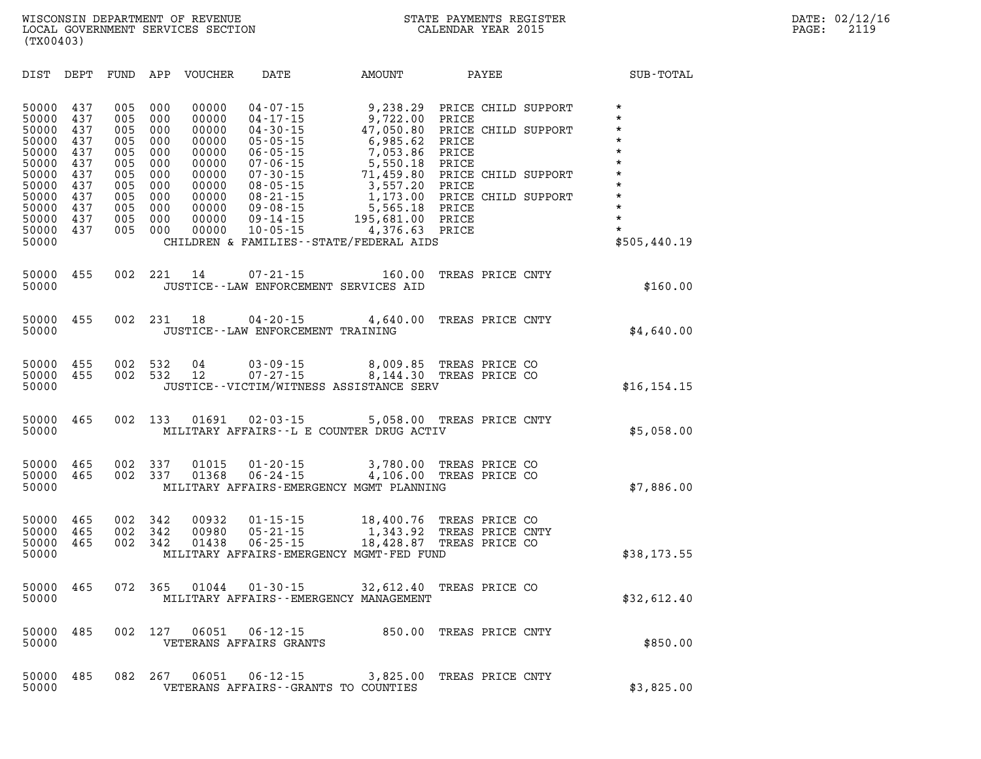| DIST                                                                                                              | DEPT                                                                             | FUND                                                                             | APP                                                                              | <b>VOUCHER</b>                                                                                           | DATE                                                                                                                                                                                                                 | AMOUNT                                                                                                                                                                                      |                                                                               | PAYEE                                                |                                                                                    | SUB-TOTAL                                                                                                                                        |
|-------------------------------------------------------------------------------------------------------------------|----------------------------------------------------------------------------------|----------------------------------------------------------------------------------|----------------------------------------------------------------------------------|----------------------------------------------------------------------------------------------------------|----------------------------------------------------------------------------------------------------------------------------------------------------------------------------------------------------------------------|---------------------------------------------------------------------------------------------------------------------------------------------------------------------------------------------|-------------------------------------------------------------------------------|------------------------------------------------------|------------------------------------------------------------------------------------|--------------------------------------------------------------------------------------------------------------------------------------------------|
| 50000<br>50000<br>50000<br>50000<br>50000<br>50000<br>50000<br>50000<br>50000<br>50000<br>50000<br>50000<br>50000 | 437<br>437<br>437<br>437<br>437<br>437<br>437<br>437<br>437<br>437<br>437<br>437 | 005<br>005<br>005<br>005<br>005<br>005<br>005<br>005<br>005<br>005<br>005<br>005 | 000<br>000<br>000<br>000<br>000<br>000<br>000<br>000<br>000<br>000<br>000<br>000 | 00000<br>00000<br>00000<br>00000<br>00000<br>00000<br>00000<br>00000<br>00000<br>00000<br>00000<br>00000 | $04 - 07 - 15$<br>$04 - 17 - 15$<br>$04 - 30 - 15$<br>$05 - 05 - 15$<br>$06 - 05 - 15$<br>$07 - 06 - 15$<br>$07 - 30 - 15$<br>$08 - 05 - 15$<br>$08 - 21 - 15$<br>$09 - 08 - 15$<br>$09 - 14 - 15$<br>$10 - 05 - 15$ | 9,238.29<br>9,722.00<br>47,050.80<br>6,985.62<br>7,053.86<br>5,550.18<br>71,459.80<br>3,557.20<br>1,173.00<br>5,565.18<br>195,681.00<br>4,376.63<br>CHILDREN & FAMILIES--STATE/FEDERAL AIDS | PRICE<br>PRICE<br>PRICE<br>PRICE<br>PRICE<br>PRICE<br>PRICE<br>PRICE<br>PRICE |                                                      | PRICE CHILD SUPPORT<br>PRICE CHILD SUPPORT<br>CHILD SUPPORT<br>PRICE CHILD SUPPORT | $\star$<br>$\star$<br>$\star$<br>$\star$<br>$\star$<br>$\star$<br>$\star$<br>$\star$<br>$\star$<br>$\star$<br>$\star$<br>$\star$<br>\$505,440.19 |
| 50000<br>50000                                                                                                    | 455                                                                              | 002                                                                              | 221                                                                              | 14                                                                                                       | $07 - 21 - 15$                                                                                                                                                                                                       | 160.00<br>JUSTICE--LAW ENFORCEMENT SERVICES AID                                                                                                                                             |                                                                               | TREAS PRICE CNTY                                     |                                                                                    | \$160.00                                                                                                                                         |
| 50000<br>50000                                                                                                    | 455                                                                              | 002                                                                              | 231                                                                              | 18                                                                                                       | $04 - 20 - 15$<br>JUSTICE--LAW ENFORCEMENT TRAINING                                                                                                                                                                  | 4,640.00                                                                                                                                                                                    |                                                                               | TREAS PRICE CNTY                                     |                                                                                    | \$4,640.00                                                                                                                                       |
| 50000<br>50000<br>50000                                                                                           | 455<br>455                                                                       | 002<br>002                                                                       | 532<br>532                                                                       | 04<br>12                                                                                                 | $03 - 09 - 15$<br>$07 - 27 - 15$                                                                                                                                                                                     | 8,009.85<br>8,144.30<br>JUSTICE--VICTIM/WITNESS ASSISTANCE SERV                                                                                                                             |                                                                               | TREAS PRICE CO<br>TREAS PRICE CO                     |                                                                                    | \$16, 154.15                                                                                                                                     |
| 50000<br>50000                                                                                                    | 465                                                                              | 002                                                                              | 133                                                                              | 01691                                                                                                    | $02 - 03 - 15$                                                                                                                                                                                                       | 5,058.00 TREAS PRICE CNTY<br>MILITARY AFFAIRS--L E COUNTER DRUG ACTIV                                                                                                                       |                                                                               |                                                      |                                                                                    | \$5,058.00                                                                                                                                       |
| 50000<br>50000<br>50000                                                                                           | 465<br>465                                                                       | 002<br>002                                                                       | 337<br>337                                                                       | 01015<br>01368                                                                                           | $01 - 20 - 15$<br>$06 - 24 - 15$                                                                                                                                                                                     | 3,780.00<br>4,106.00<br>MILITARY AFFAIRS-EMERGENCY MGMT PLANNING                                                                                                                            |                                                                               | TREAS PRICE CO<br>TREAS PRICE CO                     |                                                                                    | \$7,886.00                                                                                                                                       |
| 50000<br>50000<br>50000<br>50000                                                                                  | 465<br>465<br>465                                                                | 002<br>002<br>002                                                                | 342<br>342<br>342                                                                | 00932<br>00980<br>01438                                                                                  | $01 - 15 - 15$<br>$05 - 21 - 15$<br>$06 - 25 - 15$                                                                                                                                                                   | 18,400.76<br>1,343.92<br>18,428.87<br>MILITARY AFFAIRS-EMERGENCY MGMT-FED FUND                                                                                                              |                                                                               | TREAS PRICE CO<br>TREAS PRICE CNTY<br>TREAS PRICE CO |                                                                                    | \$38,173.55                                                                                                                                      |
| 50000<br>50000                                                                                                    | 465                                                                              | 072                                                                              | 365                                                                              | 01044                                                                                                    | $01 - 30 - 15$                                                                                                                                                                                                       | 32,612.40<br>MILITARY AFFAIRS - - EMERGENCY MANAGEMENT                                                                                                                                      |                                                                               | TREAS PRICE CO                                       |                                                                                    | \$32,612.40                                                                                                                                      |
| 50000<br>50000                                                                                                    | 485                                                                              | 002                                                                              | 127                                                                              | 06051                                                                                                    | $06 - 12 - 15$<br>VETERANS AFFAIRS GRANTS                                                                                                                                                                            | 850.00                                                                                                                                                                                      |                                                                               | TREAS PRICE CNTY                                     |                                                                                    | \$850.00                                                                                                                                         |
| 50000                                                                                                             | 485                                                                              | 082                                                                              | 267                                                                              | 06051                                                                                                    | $06 - 12 - 15$                                                                                                                                                                                                       | 3,825.00                                                                                                                                                                                    |                                                                               | TREAS PRICE CNTY                                     |                                                                                    |                                                                                                                                                  |

**50000 VETERANS AFFAIRS--GRANTS TO COUNTIES \$3,825.00**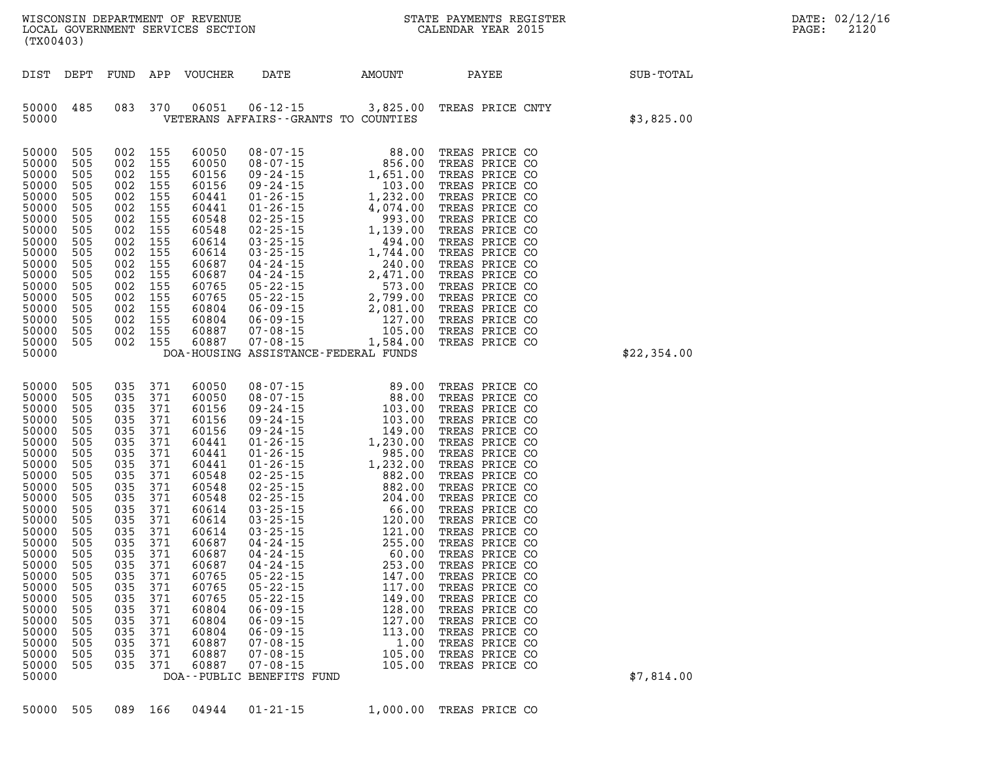| (TX00403)                                                                                                                                                                                                                                                                                                                                                                                                                                                                                                                                                                                                                                                                                                                                                                                                                                                                                                                                                                                                                                                                                                                                                                                                                                                                                                                                                                                                                                                                                                                                                                                                                                                                                                                                                                                                                                                                                                                                                                                                                                                                                                                                   |  |
|---------------------------------------------------------------------------------------------------------------------------------------------------------------------------------------------------------------------------------------------------------------------------------------------------------------------------------------------------------------------------------------------------------------------------------------------------------------------------------------------------------------------------------------------------------------------------------------------------------------------------------------------------------------------------------------------------------------------------------------------------------------------------------------------------------------------------------------------------------------------------------------------------------------------------------------------------------------------------------------------------------------------------------------------------------------------------------------------------------------------------------------------------------------------------------------------------------------------------------------------------------------------------------------------------------------------------------------------------------------------------------------------------------------------------------------------------------------------------------------------------------------------------------------------------------------------------------------------------------------------------------------------------------------------------------------------------------------------------------------------------------------------------------------------------------------------------------------------------------------------------------------------------------------------------------------------------------------------------------------------------------------------------------------------------------------------------------------------------------------------------------------------|--|
|                                                                                                                                                                                                                                                                                                                                                                                                                                                                                                                                                                                                                                                                                                                                                                                                                                                                                                                                                                                                                                                                                                                                                                                                                                                                                                                                                                                                                                                                                                                                                                                                                                                                                                                                                                                                                                                                                                                                                                                                                                                                                                                                             |  |
| FUND<br>APP VOUCHER<br>DATE<br>AMOUNT<br>PAYEE<br>SUB-TOTAL<br>DIST DEPT                                                                                                                                                                                                                                                                                                                                                                                                                                                                                                                                                                                                                                                                                                                                                                                                                                                                                                                                                                                                                                                                                                                                                                                                                                                                                                                                                                                                                                                                                                                                                                                                                                                                                                                                                                                                                                                                                                                                                                                                                                                                    |  |
| $06 - 12 - 15$ 3,825.00<br>06051<br>485<br>083<br>370<br>TREAS PRICE CNTY<br>50000<br>\$3,825.00<br>50000<br>VETERANS AFFAIRS -- GRANTS TO COUNTIES                                                                                                                                                                                                                                                                                                                                                                                                                                                                                                                                                                                                                                                                                                                                                                                                                                                                                                                                                                                                                                                                                                                                                                                                                                                                                                                                                                                                                                                                                                                                                                                                                                                                                                                                                                                                                                                                                                                                                                                         |  |
| 002<br>155<br>TREAS PRICE CO<br>50000<br>505<br>60050<br>$\begin{array}{cccc} 08-07-15 & 88.00 \\ 08-07-15 & 856.00 \\ 09-24-15 & 1,651.00 \\ 09-24-15 & 1,651.00 \\ 01-26-15 & 1,232.00 \\ 01-26-15 & 4,074.00 \\ 02-25-15 & 4,074.00 \\ 02-25-15 & 1,139.00 \\ 03-25-15 & 1,744.00 \\ 03-25-15 & 1,744.00 \\ 04-24-15 & 2,471.0$<br>505<br>155<br>50000<br>002<br>60050<br>TREAS PRICE CO<br>50000<br>505<br>002 155<br>60156<br>TREAS PRICE CO<br>50000<br>505<br>002 155<br>60156<br>TREAS PRICE CO<br>50000<br>505<br>002 155<br>60441<br>TREAS PRICE CO<br>50000<br>505<br>002<br>155<br>60441<br>TREAS PRICE CO<br>50000<br>505<br>002<br>155<br>60548<br>TREAS PRICE CO<br>50000<br>505<br>002<br>155<br>60548<br>TREAS PRICE CO<br>50000<br>505<br>002<br>155<br>60614<br>TREAS PRICE CO<br>50000<br>505<br>002<br>155<br>60614<br>TREAS PRICE CO<br>50000<br>505<br>002<br>155<br>60687<br>TREAS PRICE CO<br>50000<br>505<br>002 155<br>60687<br>TREAS PRICE CO<br>50000<br>505<br>002 155<br>60765<br>TREAS PRICE CO<br>50000<br>505<br>002<br>155<br>60765<br>TREAS PRICE CO<br>50000<br>505<br>002 155<br>60804<br>TREAS PRICE CO<br>50000<br>505<br>002 155<br>60804<br>TREAS PRICE CO<br>002 155<br>60887<br>50000<br>505<br>TREAS PRICE CO<br>50000<br>505<br>002 155<br>60887<br>TREAS PRICE CO<br>50000<br>DOA-HOUSING ASSISTANCE-FEDERAL FUNDS<br>\$22,354.00                                                                                                                                                                                                                                                                                                                                                                                                                                                                                                                                                                                                                                                                                                                                                            |  |
| 50000<br>505<br>035<br>371<br>60050<br>$\begin{array}{cccc} 08-07-15 & 89.00 \\ 08-07-15 & 88.00 \\ 09-24-15 & 103.00 \\ 09-24-15 & 103.00 \\ 09-24-15 & 103.00 \\ 01-26-15 & 1,230.00 \\ 01-26-15 & 985.00 \\ 01-26-15 & 985.00 \\ 02-25-15 & 882.00 \\ 02-25-15 & 882.00 \\ 02-25-15 & 882.00 \\ 03-25-15 & 204.$<br>TREAS PRICE CO<br>50000<br>505<br>035 371<br>60050<br>TREAS PRICE CO<br>50000<br>505<br>035<br>371<br>60156<br>TREAS PRICE CO<br>50000<br>505<br>035<br>371<br>60156<br>TREAS PRICE CO<br>50000<br>505<br>035<br>371<br>60156<br>TREAS PRICE CO<br>035<br>50000<br>505<br>371<br>60441<br>TREAS PRICE CO<br>50000<br>505<br>035<br>371<br>60441<br>TREAS PRICE CO<br>50000<br>505<br>035<br>371<br>60441<br>TREAS PRICE CO<br>50000<br>505<br>035<br>371<br>60548<br>TREAS PRICE CO<br>50000<br>505<br>035<br>371<br>60548<br>TREAS PRICE CO<br>50000<br>505<br>035<br>371<br>60548<br>TREAS PRICE CO<br>50000<br>505<br>035<br>371<br>60614<br>TREAS PRICE CO<br>50000<br>505<br>035<br>371<br>60614<br>TREAS PRICE CO<br>50000<br>505<br>035<br>371<br>60614<br>TREAS PRICE CO<br>505<br>50000<br>035<br>371<br>60687<br>TREAS PRICE CO<br>035<br>50000<br>505<br>371<br>60687<br>TREAS PRICE CO<br>50000<br>505<br>035<br>371<br>60687<br>253.00<br>TREAS PRICE CO<br>50000<br>371<br>60765<br>$05 - 22 - 15$<br>147.00<br>TREAS PRICE CO<br>505<br>035<br>50000<br>505<br>035<br>371<br>60765<br>$05 - 22 - 15$<br>117.00<br>TREAS PRICE CO<br>50000<br>60765<br>$05 - 22 - 15$<br>505<br>035<br>371<br>149.00<br>TREAS PRICE CO<br>$06 - 09 - 15$<br>50000<br>505<br>371<br>60804<br>128.00<br>TREAS PRICE CO<br>035<br>$06 - 09 - 15$<br>50000<br>505<br>035<br>371<br>60804<br>127.00<br>TREAS PRICE CO<br>60804<br>$06 - 09 - 15$<br>50000<br>505<br>035<br>371<br>113.00<br>TREAS PRICE CO<br>$07 - 08 - 15$<br>50000<br>505<br>035<br>371<br>60887<br>1.00<br>TREAS PRICE CO<br>50000<br>505<br>371<br>60887<br>$07 - 08 - 15$<br>105.00<br>TREAS PRICE CO<br>035<br>50000<br>60887<br>$07 - 08 - 15$<br>TREAS PRICE CO<br>505<br>035<br>371<br>105.00<br>\$7,814.00<br>50000<br>DOA--PUBLIC BENEFITS FUND |  |
|                                                                                                                                                                                                                                                                                                                                                                                                                                                                                                                                                                                                                                                                                                                                                                                                                                                                                                                                                                                                                                                                                                                                                                                                                                                                                                                                                                                                                                                                                                                                                                                                                                                                                                                                                                                                                                                                                                                                                                                                                                                                                                                                             |  |

**50000 505 089 166 04944 01-21-15 1,000.00 TREAS PRICE CO**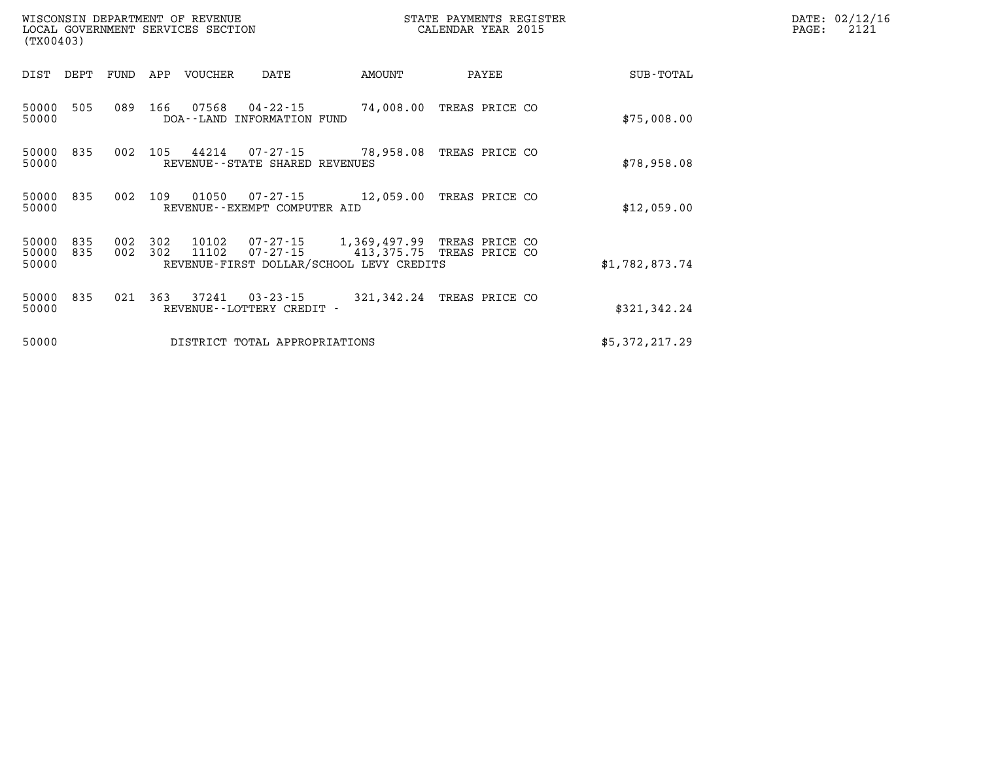| (TX00403)                          |            | WISCONSIN DEPARTMENT OF REVENUE<br>LOCAL GOVERNMENT SERVICES SECTION |                                                                                                 |            | STATE PAYMENTS REGISTER<br>CALENDAR YEAR 2015 |                | DATE: 02/12/16<br>PAGE:<br>2121 |
|------------------------------------|------------|----------------------------------------------------------------------|-------------------------------------------------------------------------------------------------|------------|-----------------------------------------------|----------------|---------------------------------|
| DEPT<br>DIST                       | FUND       | APP<br>VOUCHER                                                       | DATE                                                                                            | AMOUNT     | PAYEE                                         | SUB-TOTAL      |                                 |
| 50000<br>505<br>50000              | 089        | 166<br>07568                                                         | 04-22-15<br>DOA--LAND INFORMATION FUND                                                          |            | 74,008.00 TREAS PRICE CO                      | \$75,008.00    |                                 |
| 835<br>50000<br>50000              | 002        | 105<br>44214                                                         | 07-27-15 78,958.08 TREAS PRICE CO<br>REVENUE - - STATE SHARED REVENUES                          |            |                                               | \$78,958.08    |                                 |
| 835<br>50000<br>50000              | 002        | 109<br>01050                                                         | 07-27-15 12,059.00 TREAS PRICE CO<br>REVENUE--EXEMPT COMPUTER AID                               |            |                                               | \$12,059.00    |                                 |
| 835<br>50000<br>50000 835<br>50000 | 002<br>002 | 302<br>10102<br>11102<br>302                                         | 07-27-15 1,369,497.99<br>$07 - 27 - 15$ 413, 375.75<br>REVENUE-FIRST DOLLAR/SCHOOL LEVY CREDITS |            | TREAS PRICE CO<br>TREAS PRICE CO              | \$1,782,873.74 |                                 |
| 50000<br>835<br>50000              | 021        | 363<br>37241                                                         | 03 - 23 - 15<br>REVENUE - - LOTTERY CREDIT -                                                    | 321,342.24 | TREAS PRICE CO                                | \$321,342.24   |                                 |
| 50000                              |            |                                                                      | DISTRICT TOTAL APPROPRIATIONS                                                                   |            |                                               | \$5,372,217.29 |                                 |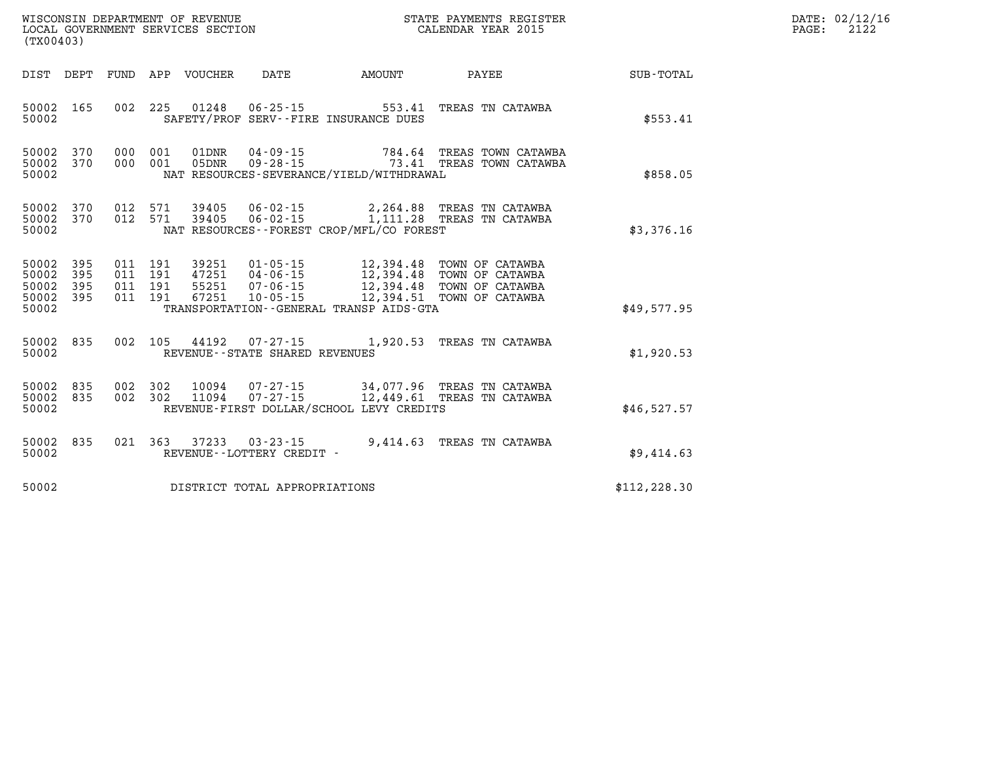| WISCONSIN DEPARTMENT OF REVENUE<br>LOCAL GOVERNMENT SERVICES SECTION<br>(TX00403) |                                                                                                                                                                                                                                                         | STATE PAYMENTS REGISTER<br>CALENDAR YEAR 2015         | DATE: 02/12/16<br>2122<br>$\mathtt{PAGE:}$ |  |
|-----------------------------------------------------------------------------------|---------------------------------------------------------------------------------------------------------------------------------------------------------------------------------------------------------------------------------------------------------|-------------------------------------------------------|--------------------------------------------|--|
| DIST DEPT FUND APP VOUCHER                                                        | DATE AMOUNT                                                                                                                                                                                                                                             | PAYEE                                                 | <b>SUB-TOTAL</b>                           |  |
| 50002 165<br>50002                                                                | 002 225 01248 06-25-15 553.41 TREAS TN CATAWBA<br>SAFETY/PROF SERV--FIRE INSURANCE DUES                                                                                                                                                                 |                                                       | \$553.41                                   |  |
| 50002 370<br>000 001 05DNR<br>50002 370<br>50002                                  | 000 001 01DNR 04-09-15<br>$09 - 28 - 15$<br>NAT RESOURCES-SEVERANCE/YIELD/WITHDRAWAL                                                                                                                                                                    | 784.64 TREAS TOWN CATAWBA<br>73.41 TREAS TOWN CATAWBA | \$858.05                                   |  |
| 50002 370<br>50002 370<br>50002                                                   | 012 571 39405 06-02-15 2,264.88 TREAS TN CATAWBA<br>012 571 39405 06-02-15 1,111.28 TREAS TN CATAWBA<br>NAT RESOURCES--FOREST CROP/MFL/CO FOREST                                                                                                        |                                                       | \$3,376.16                                 |  |
| 50002 395<br>50002 395<br>50002 395<br>50002 395<br>50002                         | 011 191 39251 01-05-15 12,394.48 TOWN OF CATAWBA<br>011 191 47251 04-06-15 12,394.48 TOWN OF CATAWBA<br>011 191 55251 07-06-15 12,394.48 TOWN OF CATAWBA<br>011 191 67251 10-05-15 12,394.51 TOWN OF CATAWBA<br>TRANSPORTATION--GENERAL TRANSP AIDS-GTA |                                                       | \$49,577.95                                |  |
| 50002 835<br>50002                                                                | 002 105 44192 07-27-15 1,920.53 TREAS TN CATAWBA<br>REVENUE--STATE SHARED REVENUES                                                                                                                                                                      |                                                       | \$1,920.53                                 |  |
| 50002 835<br>50002 835<br>50002                                                   | 002 302 10094 07-27-15 34,077.96 TREAS TN CATAWBA<br>002 302 11094 07-27-15 12,449.61 TREAS TN CATAWBA<br>REVENUE-FIRST DOLLAR/SCHOOL LEVY CREDITS                                                                                                      |                                                       | \$46,527.57                                |  |
| 50002 835<br>021 363 37233<br>50002                                               | 03-23-15<br>REVENUE--LOTTERY CREDIT -                                                                                                                                                                                                                   | 9,414.63 TREAS TN CATAWBA                             | \$9,414.63                                 |  |
| 50002                                                                             | DISTRICT TOTAL APPROPRIATIONS                                                                                                                                                                                                                           |                                                       | \$112, 228.30                              |  |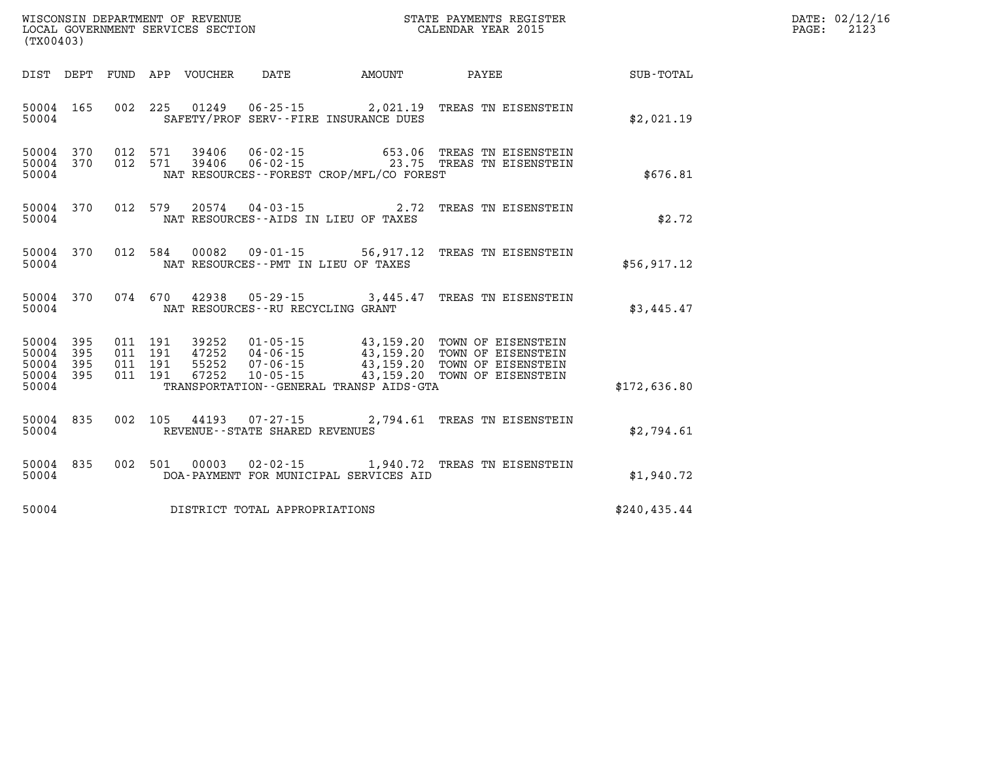| DATE: | 02/12/16 |
|-------|----------|
| PAGE: | 2123     |

| WISCONSIN DEPARTMENT OF REVENUE<br>(TX00403)                                                      | LOCAL GOVERNMENT SERVICES SECTION                                                                                                                                         | STATE PAYMENTS REGISTER<br>CALENDAR YEAR 2015                                                                                            |               |
|---------------------------------------------------------------------------------------------------|---------------------------------------------------------------------------------------------------------------------------------------------------------------------------|------------------------------------------------------------------------------------------------------------------------------------------|---------------|
| FUND<br>DIST<br>DEPT                                                                              | APP<br>VOUCHER<br>DATE                                                                                                                                                    | AMOUNT<br>PAYEE                                                                                                                          | SUB-TOTAL     |
| 165<br>002<br>50004<br>50004                                                                      | 225<br>01249  06-25-15  2,021.19<br>SAFETY/PROF SERV--FIRE INSURANCE DUES                                                                                                 | TREAS TN EISENSTEIN                                                                                                                      | \$2,021.19    |
| 370<br>012<br>50004<br>012<br>50004<br>370<br>50004                                               | 571<br>39406<br>06-02-15<br>571<br>39406<br>NAT RESOURCES--FOREST CROP/MFL/CO FOREST                                                                                      | 653.06<br>TREAS TN EISENSTEIN<br>06-02-15 23.75 TREAS TN EISENSTEIN                                                                      | \$676.81      |
| 012<br>370<br>50004<br>50004                                                                      | 579<br>$20574$ 04-03-15<br>NAT RESOURCES--AIDS IN LIEU OF TAXES                                                                                                           | 2.72<br>TREAS TN EISENSTEIN                                                                                                              | \$2.72        |
| 370<br>012<br>50004<br>50004                                                                      | 584<br>00082<br>$09 - 01 - 15$<br>NAT RESOURCES -- PMT IN LIEU OF TAXES                                                                                                   | 56,917.12<br>TREAS TN EISENSTEIN                                                                                                         | \$56,917.12   |
| 370<br>50004<br>50004                                                                             | 074 670<br>42938 05-29-15<br>NAT RESOURCES - - RU RECYCLING GRANT                                                                                                         | 3,445.47<br>TREAS TN EISENSTEIN                                                                                                          | \$3,445.47    |
| 50004<br>395<br>011<br>395<br>50004<br>011<br>395<br>011<br>50004<br>50004<br>395<br>011<br>50004 | 191<br>39252<br>$01 - 05 - 15$<br>191<br>47252<br>04-06-15<br>55252<br>$07 - 06 - 15$<br>191<br>191<br>67252<br>$10 - 05 - 15$<br>TRANSPORTATION--GENERAL TRANSP AIDS-GTA | 43,159.20<br>TOWN OF EISENSTEIN<br>43,159.20<br>TOWN OF EISENSTEIN<br>43,159.20<br>TOWN OF EISENSTEIN<br>43,159.20<br>TOWN OF EISENSTEIN | \$172,636.80  |
| 835<br>002<br>50004<br>50004                                                                      | 105<br>44193 07-27-15<br>REVENUE - - STATE SHARED REVENUES                                                                                                                | 2,794.61<br>TREAS TN EISENSTEIN                                                                                                          | \$2,794.61    |
| 835<br>002<br>50004<br>50004                                                                      | 501<br>00003<br>DOA-PAYMENT FOR MUNICIPAL SERVICES AID                                                                                                                    | 02-02-15 1,940.72 TREAS TN EISENSTEIN                                                                                                    | \$1,940.72    |
| 50004                                                                                             | DISTRICT TOTAL APPROPRIATIONS                                                                                                                                             |                                                                                                                                          | \$240, 435.44 |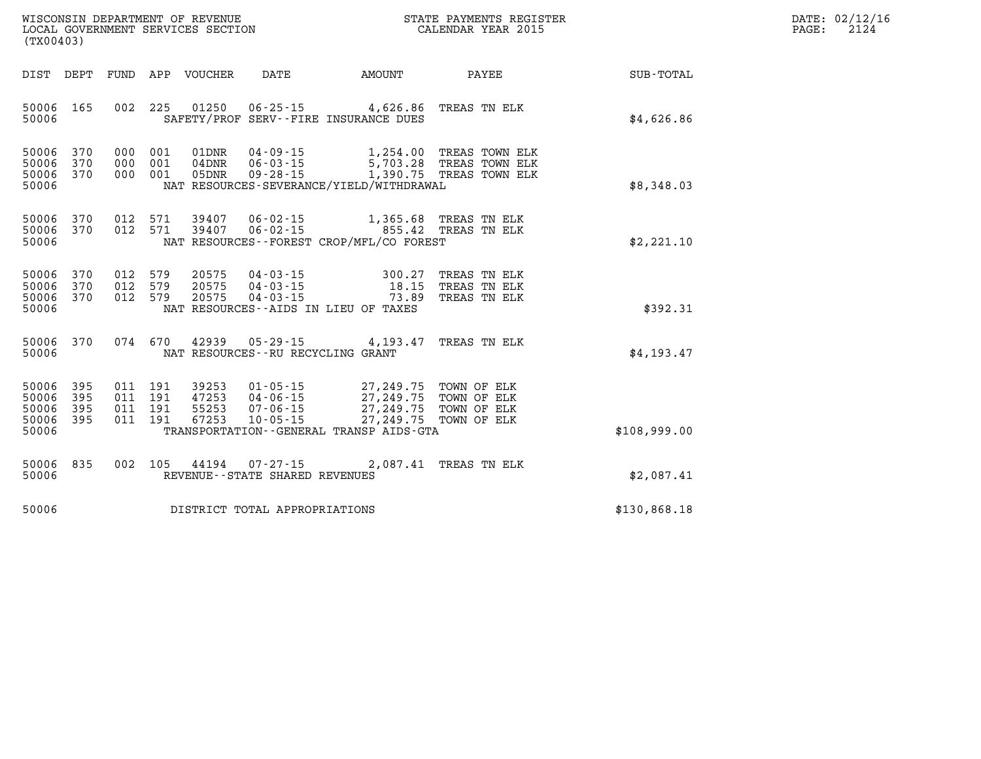| WISCONSIN DEPARTMENT OF REVENUE   | STATE PAYMENTS REGISTER | DATE: 02/12/16 |
|-----------------------------------|-------------------------|----------------|
| LOCAL GOVERNMENT SERVICES SECTION | CALENDAR YEAR 2015      | 2124<br>PAGE:  |

|                                                   | LOCAL GOVERNMENT SERVICES SECTION<br>(TX00403) |     |                                          |                                  | CALENDAR YEAR 2015                  |                                                                                                                                                                                      |  | 2124         |  |  |
|---------------------------------------------------|------------------------------------------------|-----|------------------------------------------|----------------------------------|-------------------------------------|--------------------------------------------------------------------------------------------------------------------------------------------------------------------------------------|--|--------------|--|--|
|                                                   |                                                |     |                                          |                                  |                                     | DIST DEPT FUND APP VOUCHER DATE AMOUNT PAYEE                                                                                                                                         |  | SUB-TOTAL    |  |  |
| 50006 165<br>50006                                |                                                |     |                                          |                                  |                                     | 002 225 01250 06-25-15 4,626.86 TREAS TN ELK<br>SAFETY/PROF SERV--FIRE INSURANCE DUES                                                                                                |  | \$4,626.86   |  |  |
| 50006<br>50006<br>50006 370<br>50006              | 370<br>370                                     |     | 000 001<br>000 001<br>000 001            | 01DNR<br>$04\rm{DNR}$<br>05DNR   |                                     | 04-09-15 1,254.00 TREAS TOWN ELK<br>06-03-15 5,703.28 TREAS TOWN ELK<br>09-28-15 1,390.75 TREAS TOWN ELK<br>NAT RESOURCES-SEVERANCE/YIELD/WITHDRAWAL                                 |  | \$8,348.03   |  |  |
| 50006 370<br>50006 370<br>50006                   |                                                |     | 012 571<br>012 571                       |                                  |                                     | 39407  06-02-15   1,365.68  TREAS TN ELK<br>39407  06-02-15   855.42  TREAS TN ELK<br>NAT RESOURCES--FOREST CROP/MFL/CO FOREST                                                       |  | \$2,221.10   |  |  |
| 50006 370<br>50006<br>50006 370<br>50006          | 370                                            | 012 | 012 579<br>579<br>012 579                | 20575<br>20575<br>20575          |                                     | 04-03-15 300.27 TREAS TN ELK<br>04-03-15 18.15 TREAS TN ELK<br>04-03-15 73.89 TREAS TN ELK<br>NAT RESOURCES--AIDS IN LIEU OF TAXES                                                   |  | \$392.31     |  |  |
| 50006                                             | 50006 370                                      |     | 074 670                                  | 42939                            |                                     | 05-29-15 4,193.47 TREAS TN ELK<br>NAT RESOURCES--RU RECYCLING GRANT                                                                                                                  |  | \$4,193.47   |  |  |
| 50006 395<br>50006<br>50006<br>50006 395<br>50006 | 395<br>395                                     |     | 011 191<br>011 191<br>011 191<br>011 191 | 39253<br>47253<br>55253<br>67253 |                                     | 01-05-15 27,249.75 TOWN OF ELK<br>04-06-15 27,249.75 TOWN OF ELK<br>07-06-15 27,249.75 TOWN OF ELK<br>10-05-15 27,249.75 TOWN OF ELK<br>TRANSPORTATION - - GENERAL TRANSP AIDS - GTA |  | \$108,999.00 |  |  |
| 50006 835<br>50006                                |                                                |     |                                          |                                  | REVENUE - - STATE SHARED REVENUES   | 002 105 44194 07-27-15 2,087.41 TREAS TN ELK                                                                                                                                         |  | \$2,087.41   |  |  |
|                                                   |                                                |     |                                          |                                  | 50006 DISTRICT TOTAL APPROPRIATIONS |                                                                                                                                                                                      |  | \$130,868.18 |  |  |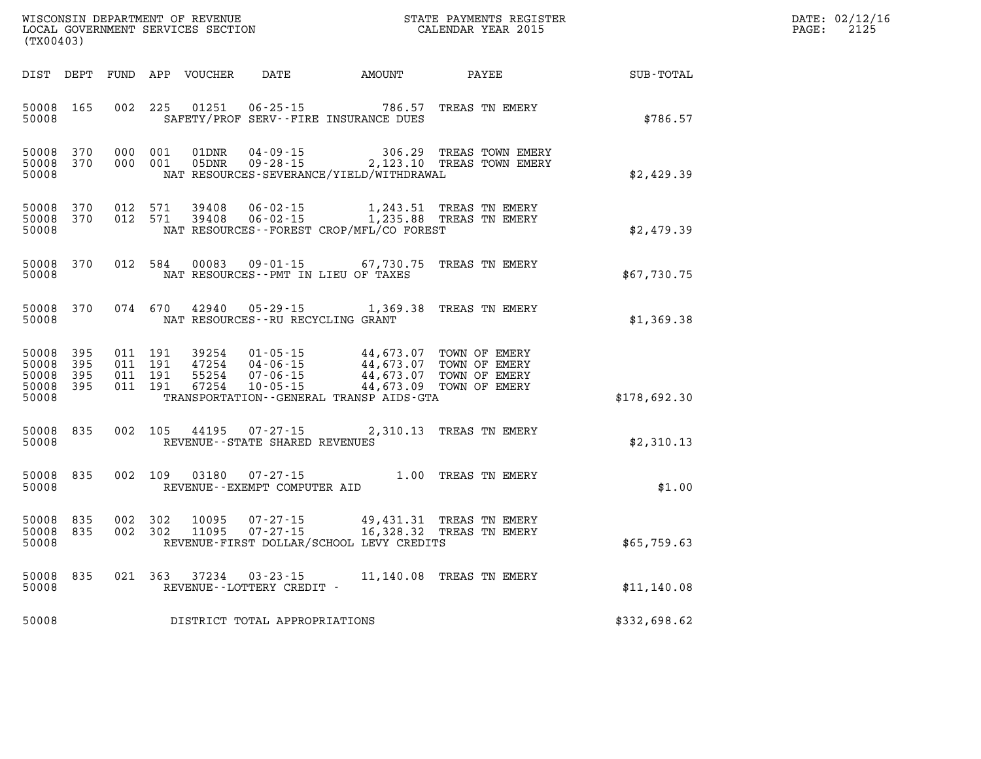| WISCONSIN DEPARTMENT OF REVENUE<br>LOCAL GOVERNMENT SERVICES SECTION<br>CALENDAR YEAR 2015<br>(TX00403) |                        |                                          |         |                |                                   |                                                                                                                                                                                                                             |                                                                                        | $\mathbb{E} \mathbb{R}$<br>DATE: 02/12/16<br>$\mathtt{PAGE:}$<br>2125 |  |
|---------------------------------------------------------------------------------------------------------|------------------------|------------------------------------------|---------|----------------|-----------------------------------|-----------------------------------------------------------------------------------------------------------------------------------------------------------------------------------------------------------------------------|----------------------------------------------------------------------------------------|-----------------------------------------------------------------------|--|
| DIST DEPT                                                                                               |                        |                                          |         |                |                                   | FUND APP VOUCHER DATE AMOUNT PAYEE                                                                                                                                                                                          |                                                                                        | SUB-TOTAL                                                             |  |
| 50008 165<br>50008                                                                                      |                        | 002 225                                  |         | 01251          |                                   | 06-25-15 786.57<br>SAFETY/PROF SERV--FIRE INSURANCE DUES                                                                                                                                                                    | TREAS TN EMERY                                                                         | \$786.57                                                              |  |
| 50008                                                                                                   | 50008 370<br>50008 370 | 000 001<br>000 001                       |         |                |                                   | NAT RESOURCES-SEVERANCE/YIELD/WITHDRAWAL                                                                                                                                                                                    | 01DNR  04-09-15  306.29 TREAS TOWN EMERY<br>05DNR  09-28-15  2,123.10 TREAS TOWN EMERY | \$2,429.39                                                            |  |
| 50008                                                                                                   | 50008 370<br>50008 370 | 012 571<br>012 571                       |         | 39408<br>39408 |                                   | NAT RESOURCES - - FOREST CROP/MFL/CO FOREST                                                                                                                                                                                 | 06-02-15 1,243.51 TREAS TN EMERY<br>06-02-15 1,235.88 TREAS TN EMERY                   | \$2,479.39                                                            |  |
| 50008                                                                                                   | 50008 370              |                                          | 012 584 |                |                                   | NAT RESOURCES - PMT IN LIEU OF TAXES                                                                                                                                                                                        | 00083  09-01-15  67,730.75  TREAS TN EMERY                                             | \$67,730.75                                                           |  |
| 50008                                                                                                   | 50008 370              |                                          | 074 670 |                | NAT RESOURCES--RU RECYCLING GRANT |                                                                                                                                                                                                                             | 42940  05-29-15  1,369.38  TREAS TN EMERY                                              | \$1,369.38                                                            |  |
| 50008 395<br>50008<br>50008 395<br>50008 395<br>50008                                                   | 395                    | 011 191<br>011 191<br>011 191<br>011 191 |         |                |                                   | 39254  01-05-15  44,673.07  TOWN OF EMERY<br>47254  04-06-15  44,673.07  TOWN OF EMERY<br>55254  07-06-15  44,673.07  TOWN OF EMERY<br>67254  10-05-15  44,673.09  TOWN OF EMERY<br>TRANSPORTATION--GENERAL TRANSP AIDS-GTA |                                                                                        | \$178,692.30                                                          |  |
| 50008 835<br>50008                                                                                      |                        |                                          | 002 105 |                | REVENUE--STATE SHARED REVENUES    |                                                                                                                                                                                                                             | 44195 07-27-15 2,310.13 TREAS TN EMERY                                                 | \$2,310.13                                                            |  |
| 50008 835<br>50008                                                                                      |                        |                                          | 002 109 | 03180          | REVENUE--EXEMPT COMPUTER AID      |                                                                                                                                                                                                                             | 07-27-15 1.00 TREAS TN EMERY                                                           | \$1.00                                                                |  |
| 50008 835<br>50008 835<br>50008                                                                         |                        | 002 302<br>002 302                       |         | 10095<br>11095 |                                   | REVENUE-FIRST DOLLAR/SCHOOL LEVY CREDITS                                                                                                                                                                                    | 07-27-15 49,431.31 TREAS TN EMERY<br>07-27-15 16,328.32 TREAS TN EMERY                 | \$65,759.63                                                           |  |
| 50008 835<br>50008                                                                                      |                        |                                          |         |                | REVENUE--LOTTERY CREDIT -         |                                                                                                                                                                                                                             | 021  363  37234  03-23-15  11,140.08  TREAS TN EMERY                                   | \$11,140.08                                                           |  |

**50008 DISTRICT TOTAL APPROPRIATIONS \$332,698.62**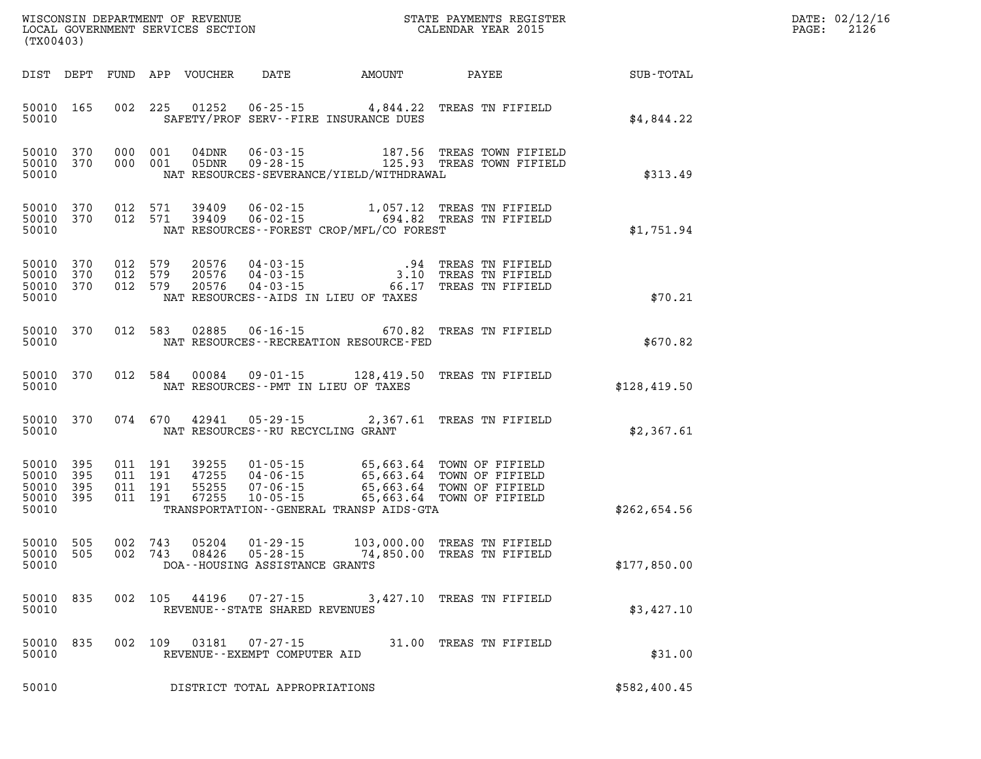| (TX00403)                                 |                          |                           |                    |                                  |                                                                    |                                                                    |                                                                                                                                                        |              | DATE: 02/12/16<br>2126<br>PAGE: |
|-------------------------------------------|--------------------------|---------------------------|--------------------|----------------------------------|--------------------------------------------------------------------|--------------------------------------------------------------------|--------------------------------------------------------------------------------------------------------------------------------------------------------|--------------|---------------------------------|
|                                           | DIST DEPT                |                           |                    | FUND APP VOUCHER                 | DATE                                                               | AMOUNT                                                             | PAYEE                                                                                                                                                  | SUB-TOTAL    |                                 |
| 50010                                     | 50010 165                | 002                       | 225                | 01252                            |                                                                    | $06 - 25 - 15$ 4,844.22<br>SAFETY/PROF SERV--FIRE INSURANCE DUES   | TREAS TN FIFIELD                                                                                                                                       | \$4,844.22   |                                 |
| 50010<br>50010                            | 50010 370<br>370         | 000 001<br>000 001        |                    | $04$ DNR<br>05DNR                | 06-03-15                                                           | NAT RESOURCES-SEVERANCE/YIELD/WITHDRAWAL                           | 187.56 TREAS TOWN FIFIELD<br>09-28-15 125.93 TREAS TOWN FIFIELD                                                                                        | \$313.49     |                                 |
| 50010<br>50010<br>50010                   | 370<br>370               | 012 571                   | 012 571            | 39409<br>39409                   |                                                                    | NAT RESOURCES--FOREST CROP/MFL/CO FOREST                           | 06-02-15 1,057.12 TREAS TN FIFIELD<br>06-02-15 694.82 TREAS TN FIFIELD                                                                                 | \$1,751.94   |                                 |
| 50010<br>50010<br>50010                   | 50010 370<br>370<br>370  | 012 579<br>012<br>012 579 | 579                | 20576<br>20576<br>20576          | 04-03-15<br>$04 - 03 - 15$<br>$04 - 03 - 15$                       | 3.10<br>66.17<br>NAT RESOURCES -- AIDS IN LIEU OF TAXES            | .94 TREAS TN FIFIELD<br>TREAS TN FIFIELD<br>TREAS TN FIFIELD                                                                                           | \$70.21      |                                 |
| 50010                                     | 50010 370                |                           | 012 583            | 02885                            | $06 - 16 - 15$                                                     | 670.82<br>NAT RESOURCES - - RECREATION RESOURCE - FED              | TREAS TN FIFIELD                                                                                                                                       | \$670.82     |                                 |
| 50010                                     | 50010 370                |                           | 012 584            | 00084                            |                                                                    | 09 - 01 - 15 128, 419. 50<br>NAT RESOURCES -- PMT IN LIEU OF TAXES | TREAS TN FIFIELD                                                                                                                                       | \$128,419.50 |                                 |
| 50010                                     | 50010 370                |                           | 074 670            | 42941                            | 05-29-15<br>NAT RESOURCES -- RU RECYCLING GRANT                    | 2,367.61                                                           | TREAS TN FIFIELD                                                                                                                                       | \$2,367.61   |                                 |
| 50010<br>50010<br>50010<br>50010<br>50010 | 395<br>395<br>395<br>395 | 011 191<br>011 191        | 011 191<br>011 191 | 39255<br>47255<br>55255<br>67255 | 04-06-15<br>$07 - 06 - 15$<br>$10 - 05 - 15$                       | TRANSPORTATION - - GENERAL TRANSP AIDS - GTA                       | 01-05-15 65,663.64 TOWN OF FIFIELD<br>65,663.64 TOWN OF FIFIELD<br>65,663.64 TOWN OF FIFIELD<br>65,663.64 TOWN OF FIFIELD<br>65,663.64 TOWN OF FIFIELD | \$262,654.56 |                                 |
| 50010<br>50010<br>50010                   | 505<br>505               | 002<br>002                | 743<br>743         | 05204<br>08426                   | $01 - 29 - 15$<br>$05 - 28 - 15$<br>DOA--HOUSING ASSISTANCE GRANTS |                                                                    | 103,000.00 TREAS TN FIFIELD<br>74,850.00 TREAS TN FIFIELD                                                                                              | \$177,850.00 |                                 |
| 50010 835<br>50010                        |                          |                           | 002 105            | 44196                            | 07-27-15<br>REVENUE - - STATE SHARED REVENUES                      |                                                                    | 3,427.10 TREAS TN FIFIELD                                                                                                                              | \$3,427.10   |                                 |
| 50010<br>50010                            | 835                      |                           | 002 109            | 03181                            | $07 - 27 - 15$<br>REVENUE--EXEMPT COMPUTER AID                     |                                                                    | 31.00 TREAS TN FIFIELD                                                                                                                                 | \$31.00      |                                 |
| 50010                                     |                          |                           |                    |                                  | DISTRICT TOTAL APPROPRIATIONS                                      |                                                                    |                                                                                                                                                        | \$582,400.45 |                                 |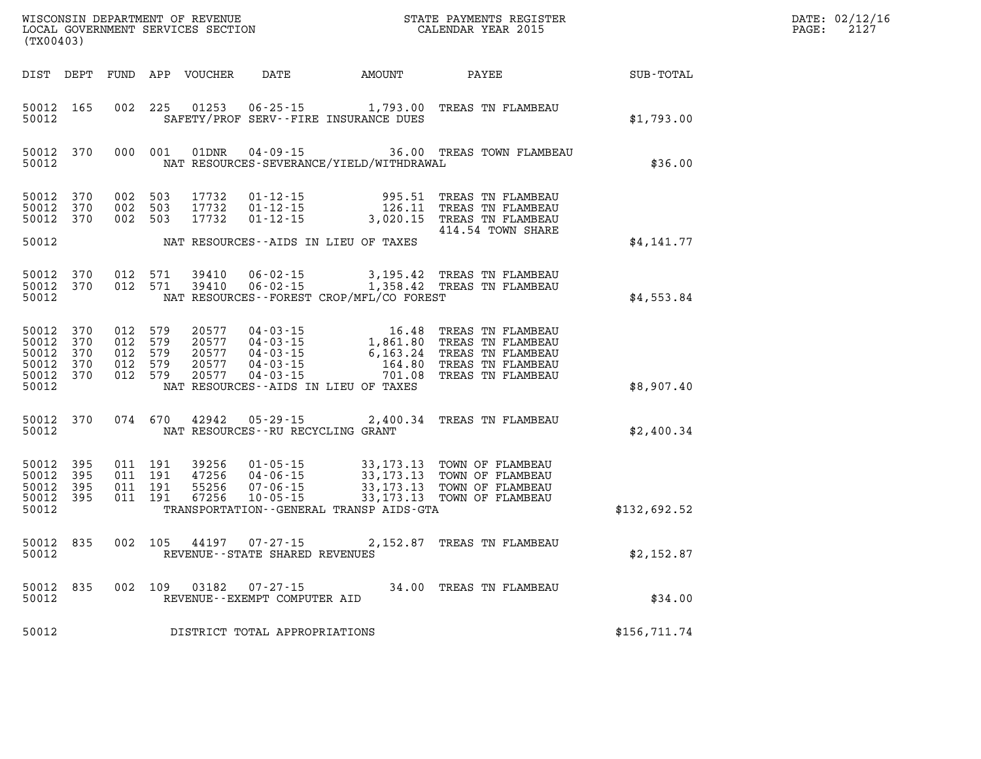| DATE: | 02/12/16 |
|-------|----------|
| PAGE: | 2127     |

| WISCONSIN DEPARTMENT OF REVENUE<br>LOCAL GOVERNMENT SERVICES SECTION<br>(TX00403) |                                             |     |                                                     | STATE PAYMENTS REGISTER<br>CALENDAR YEAR 2015 |                                                    | DATE: 02/12/1<br>2127<br>PAGE:                                                                                                                                                                                                                                |                                                                                                                                                                                        |                  |  |
|-----------------------------------------------------------------------------------|---------------------------------------------|-----|-----------------------------------------------------|-----------------------------------------------|----------------------------------------------------|---------------------------------------------------------------------------------------------------------------------------------------------------------------------------------------------------------------------------------------------------------------|----------------------------------------------------------------------------------------------------------------------------------------------------------------------------------------|------------------|--|
| DIST DEPT                                                                         |                                             |     |                                                     | FUND APP VOUCHER                              |                                                    | DATE AMOUNT                                                                                                                                                                                                                                                   | PAYEE                                                                                                                                                                                  | <b>SUB-TOTAL</b> |  |
| 50012 165<br>50012                                                                |                                             |     | 002 225                                             | 01253                                         |                                                    | SAFETY/PROF SERV--FIRE INSURANCE DUES                                                                                                                                                                                                                         | 06-25-15 1,793.00 TREAS TN FLAMBEAU                                                                                                                                                    | \$1,793.00       |  |
| 50012                                                                             | 50012 370                                   |     | 000 001                                             | 01DNR                                         |                                                    | NAT RESOURCES-SEVERANCE/YIELD/WITHDRAWAL                                                                                                                                                                                                                      | 04-09-15 36.00 TREAS TOWN FLAMBEAU                                                                                                                                                     | \$36.00          |  |
| 50012<br>50012 370                                                                | 50012 370<br>370                            | 002 | 002 503<br>503<br>002 503                           | 17732<br>17732<br>17732                       | $01 - 12 - 15$<br>$01 - 12 - 15$<br>$01 - 12 - 15$ |                                                                                                                                                                                                                                                               | 995.51 TREAS TN FLAMBEAU<br>126.11 TREAS TN FLAMBEAU<br>3,020.15 TREAS TN FLAMBEAU<br>414.54 TOWN SHARE                                                                                |                  |  |
| 50012                                                                             |                                             |     |                                                     |                                               |                                                    | NAT RESOURCES--AIDS IN LIEU OF TAXES                                                                                                                                                                                                                          |                                                                                                                                                                                        | \$4,141.77       |  |
| 50012                                                                             | 50012 370<br>50012 370                      |     | 012 571<br>012 571                                  | 39410<br>39410                                |                                                    | NAT RESOURCES - - FOREST CROP/MFL/CO FOREST                                                                                                                                                                                                                   | 06-02-15 3,195.42 TREAS TN FLAMBEAU<br>06-02-15 1,358.42 TREAS TN FLAMBEAU                                                                                                             | \$4,553.84       |  |
| 50012<br>50012<br>50012<br>50012                                                  | 50012 370<br>370<br>370<br>370<br>50012 370 |     | 012 579<br>012 579<br>012 579<br>012 579<br>012 579 | 20577<br>20577<br>20577<br>20577<br>20577     | 04-03-15                                           | $\begin{array}{cccc} 04\cdot 03\cdot 15 & 16\cdot 48 \\ 04\cdot 03\cdot 15 & 1,861\cdot 80 \\ 04\cdot 03\cdot 15 & 6,163\cdot 24 \\ 04\cdot 03\cdot 15 & 164\cdot 80 \\ 04\cdot 03\cdot 15 & 701\cdot 08 \end{array}$<br>NAT RESOURCES--AIDS IN LIEU OF TAXES | TREAS TN FLAMBEAU<br>TREAS TN FLAMBEAU<br>TREAS TN FLAMBEAU<br>TREAS TN FLAMBEAU<br>701.08 TREAS TN FLAMBEAU                                                                           | \$8,907.40       |  |
| 50012                                                                             | 50012 370                                   |     | 074 670                                             | 42942                                         | NAT RESOURCES -- RU RECYCLING GRANT                |                                                                                                                                                                                                                                                               | 05-29-15 2,400.34 TREAS TN FLAMBEAU                                                                                                                                                    | \$2,400.34       |  |
| 50012 395<br>50012<br>50012<br>50012<br>50012                                     | 395<br>395<br>395                           |     | 011 191<br>011 191<br>011 191<br>011 191            | 39256<br>47256<br>55256<br>67256              | $10 - 05 - 15$                                     | TRANSPORTATION--GENERAL TRANSP AIDS-GTA                                                                                                                                                                                                                       | 01-05-15 33,173.13 TOWN OF FLAMBEAU<br>04-06-15 33,173.13 TOWN OF FLAMBEAU<br>07-06-15 33,173.13 TOWN OF FLAMBEAU<br>10-05-15 33,173.13 TOWN OF FLAMBEAU<br>33,173.13 TOWN OF FLAMBEAU | \$132,692.52     |  |
| 50012<br>50012                                                                    | 835                                         |     | 002 105                                             | 44197                                         | $07 - 27 - 15$<br>REVENUE--STATE SHARED REVENUES   |                                                                                                                                                                                                                                                               | 2,152.87 TREAS TN FLAMBEAU                                                                                                                                                             | \$2,152.87       |  |
| 50012                                                                             | 50012 835                                   |     |                                                     | 002 109 03182                                 | 07-27-15<br>REVENUE--EXEMPT COMPUTER AID           |                                                                                                                                                                                                                                                               | 34.00 TREAS TN FLAMBEAU                                                                                                                                                                | \$34.00          |  |
| 50012                                                                             |                                             |     |                                                     |                                               | DISTRICT TOTAL APPROPRIATIONS                      |                                                                                                                                                                                                                                                               |                                                                                                                                                                                        | \$156,711.74     |  |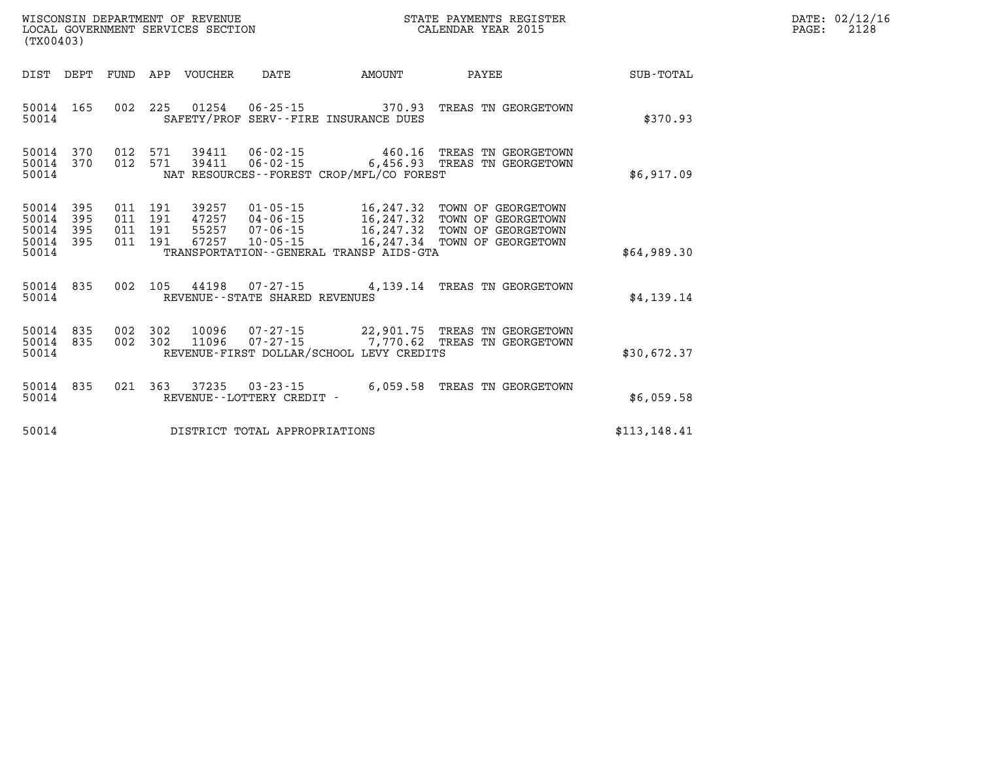| $\mathtt{DATE}$ : | 02/12/16 |
|-------------------|----------|
| PAGE:             | 2128     |

| (TX00403)                                                             |                          |                                                              |                                                                                                                 |                                                   |                                                                                      |               |
|-----------------------------------------------------------------------|--------------------------|--------------------------------------------------------------|-----------------------------------------------------------------------------------------------------------------|---------------------------------------------------|--------------------------------------------------------------------------------------|---------------|
| DEPT<br>DIST                                                          | <b>FUND</b>              | <b>VOUCHER</b><br>APP                                        | DATE                                                                                                            | AMOUNT                                            | PAYEE                                                                                | SUB-TOTAL     |
| 50014<br>165<br>50014                                                 | 002                      | 01254<br>225<br>SAFETY/PROF                                  | $06 - 25 - 15$<br>SERV--FIRE INSURANCE DUES                                                                     | 370.93                                            | TREAS TN GEORGETOWN                                                                  | \$370.93      |
| 370<br>50014<br>50014<br>370<br>50014                                 | 012<br>012               | 571<br>39411<br>39411<br>571                                 | $06 - 02 - 15$<br>$06 - 02 - 15$<br>NAT RESOURCES--FOREST CROP/MFL/CO FOREST                                    | 460.16<br>6,456.93                                | TREAS TN GEORGETOWN<br>TREAS<br>TN GEORGETOWN                                        | \$6,917.09    |
| 50014<br>395<br>50014<br>395<br>50014<br>395<br>50014<br>395<br>50014 | 011<br>011<br>011<br>011 | 191<br>39257<br>191<br>47257<br>191<br>55257<br>191<br>67257 | $01 - 05 - 15$<br>$04 - 06 - 15$<br>$07 - 06 - 15$<br>$10 - 05 - 15$<br>TRANSPORTATION--GENERAL TRANSP AIDS-GTA | 16, 247.32<br>16,247.32<br>16,247.32<br>16,247.34 | TOWN OF GEORGETOWN<br>TOWN OF GEORGETOWN<br>TOWN OF GEORGETOWN<br>TOWN OF GEORGETOWN | \$64,989.30   |
| 50014<br>835<br>50014                                                 | 002                      | 105<br>44198                                                 | $07 - 27 - 15$<br>REVENUE - - STATE SHARED REVENUES                                                             | 4,139.14                                          | TREAS TN GEORGETOWN                                                                  | \$4,139.14    |
| 835<br>50014<br>50014<br>835<br>50014                                 | 002<br>002               | 302<br>10096<br>302<br>11096                                 | 07-27-15<br>$07 - 27 - 15$<br>REVENUE-FIRST DOLLAR/SCHOOL LEVY CREDITS                                          | 22,901.75<br>7,770.62                             | TREAS TN GEORGETOWN<br>TREAS TN GEORGETOWN                                           | \$30,672.37   |
| 835<br>50014<br>50014                                                 | 021                      | 37235<br>363                                                 | $03 - 23 - 15$<br>REVENUE - - LOTTERY CREDIT -                                                                  | 6,059.58                                          | TREAS TN GEORGETOWN                                                                  | \$6,059.58    |
| 50014                                                                 |                          |                                                              | DISTRICT TOTAL APPROPRIATIONS                                                                                   |                                                   |                                                                                      | \$113, 148.41 |

WISCONSIN DEPARTMENT OF REVENUE **STATE PAYMENTS REGISTER**<br>LOCAL GOVERNMENT SERVICES SECTION

LOCAL GOVERNMENT SERVICES SECTION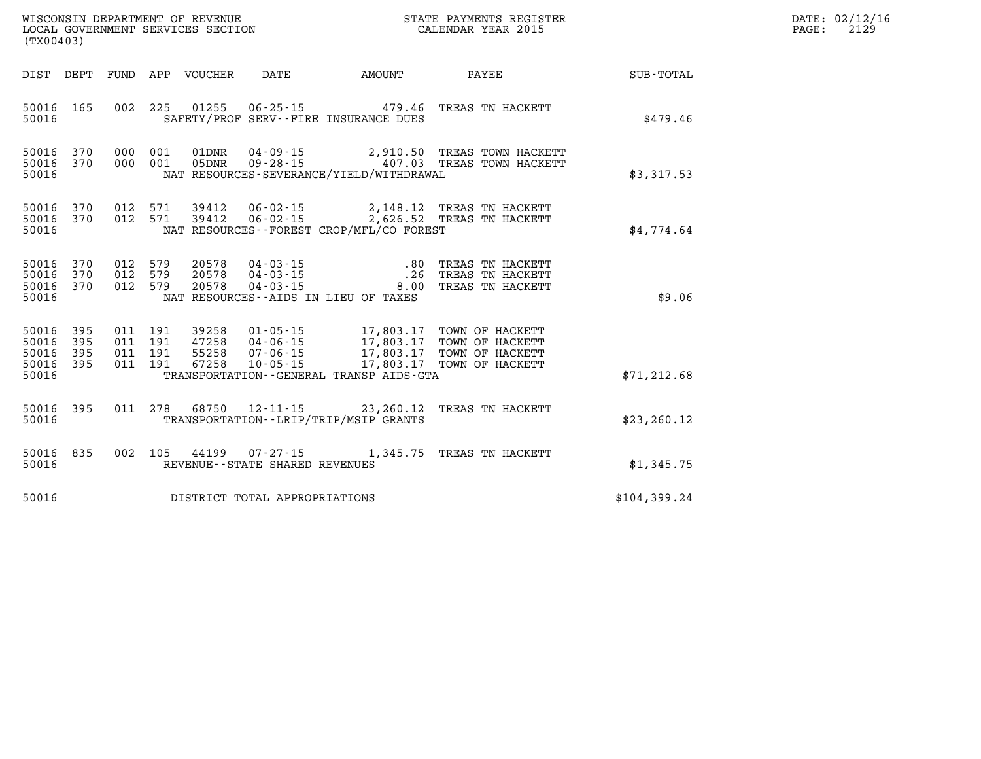| WISCONSIN DEPARTMENT OF REVENUE   | STATE PAYMENTS REGISTER |      | DATE: 02/12/16 |
|-----------------------------------|-------------------------|------|----------------|
| LOCAL GOVERNMENT SERVICES SECTION | CALENDAR YEAR 2015      | PAGE | 2129           |

|                                                   | LOCAL GOVERNMENT SERVICES SECTION<br>(TX00403) |                |                |                         | CALENDAR YEAR 2015                |                                          |                                                                                                                                                                                                                                                                                                                                                          | 2129         |  |  |
|---------------------------------------------------|------------------------------------------------|----------------|----------------|-------------------------|-----------------------------------|------------------------------------------|----------------------------------------------------------------------------------------------------------------------------------------------------------------------------------------------------------------------------------------------------------------------------------------------------------------------------------------------------------|--------------|--|--|
|                                                   |                                                |                |                |                         |                                   |                                          | DIST DEPT FUND APP VOUCHER DATE AMOUNT PAYEE                                                                                                                                                                                                                                                                                                             | SUB-TOTAL    |  |  |
| 50016 165<br>50016                                |                                                |                |                |                         |                                   | SAFETY/PROF SERV--FIRE INSURANCE DUES    | 002 225 01255 06-25-15 479.46 TREAS TN HACKETT                                                                                                                                                                                                                                                                                                           | \$479.46     |  |  |
| 50016 370<br>50016 370<br>50016                   |                                                | 000 001        | 000 001        |                         |                                   | NAT RESOURCES-SEVERANCE/YIELD/WITHDRAWAL | 01DNR  04-09-15  2,910.50 TREAS TOWN HACKETT<br>05DNR  09-28-15   407.03 TREAS TOWN HACKETT                                                                                                                                                                                                                                                              | \$3,317.53   |  |  |
| 50016 370<br>50016 370<br>50016                   |                                                |                |                | 012 571 39412           |                                   | NAT RESOURCES--FOREST CROP/MFL/CO FOREST | 012 571 39412 06-02-15 2,148.12 TREAS TN HACKETT<br>06-02-15 2,626.52 TREAS TN HACKETT                                                                                                                                                                                                                                                                   | \$4,774.64   |  |  |
| 50016 370<br>50016<br>50016 370<br>50016          | 370                                            | 012<br>012 579 | 579<br>012 579 | 20578<br>20578<br>20578 |                                   | NAT RESOURCES--AIDS IN LIEU OF TAXES     | 04-03-15 .80 TREAS TN HACKETT<br>04-03-15 .26 TREAS TN HACKETT<br>04-03-15 .00 TREAS TN HACKETT                                                                                                                                                                                                                                                          | \$9.06       |  |  |
| 50016<br>50016<br>50016 395<br>50016 395<br>50016 | 395<br>395                                     |                |                |                         |                                   | TRANSPORTATION--GENERAL TRANSP AIDS-GTA  | $\begin{array}{cccc} 011 & 191 & 39258 & 01\cdot 05\cdot 15 & 17\text{ ,}803\text{ .}17 & \text{TOWN OF HACKETT} \\ 011 & 191 & 47258 & 04\cdot 06\cdot 15 & 17\text{ ,}803\text{ .}17 & \text{TOWN OF HACKETT} \\ 011 & 191 & 55258 & 07\cdot 06\cdot 15 & 17\text{ ,}803\text{ .}17 & \text{TOWN OF HACKETT} \\ 011 & 191 & 67258 & 10\cdot 05\cdot 1$ | \$71, 212.68 |  |  |
| 50016 395<br>50016                                |                                                |                |                |                         |                                   | TRANSPORTATION--LRIP/TRIP/MSIP GRANTS    | 011 278 68750 12-11-15 23,260.12 TREAS TN HACKETT                                                                                                                                                                                                                                                                                                        | \$23, 260.12 |  |  |
| 50016 835<br>50016                                |                                                |                |                |                         | REVENUE - - STATE SHARED REVENUES |                                          | 002 105 44199 07-27-15 1,345.75 TREAS TN HACKETT                                                                                                                                                                                                                                                                                                         | \$1,345.75   |  |  |
| 50016                                             |                                                |                |                |                         | DISTRICT TOTAL APPROPRIATIONS     |                                          |                                                                                                                                                                                                                                                                                                                                                          | \$104,399.24 |  |  |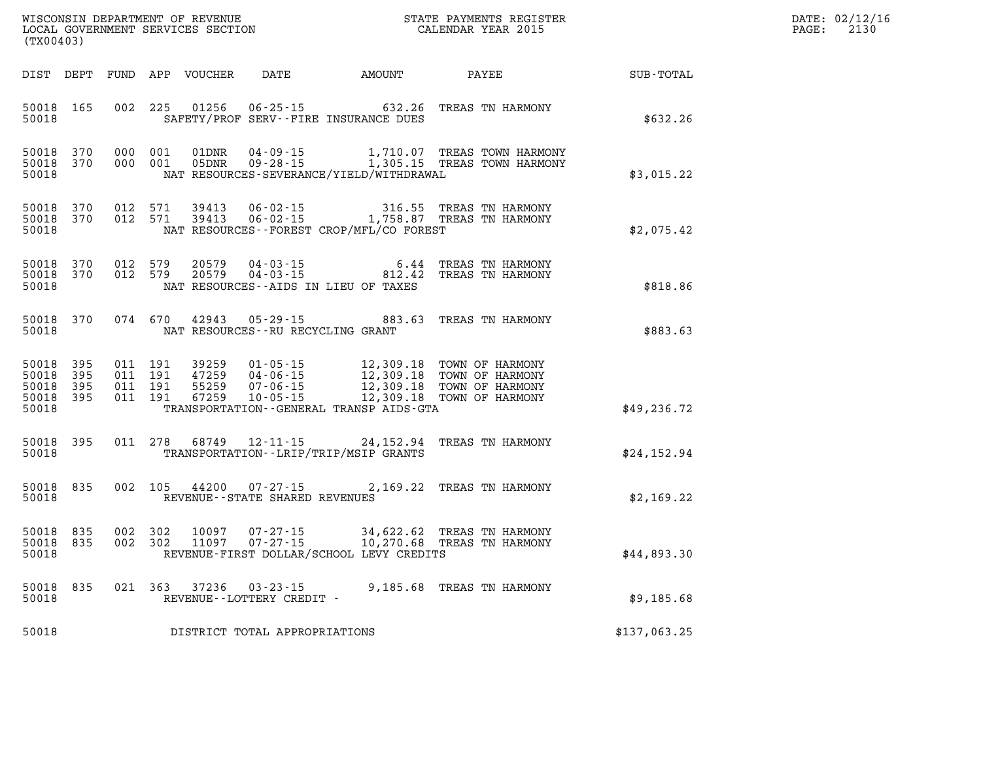| DATE: | 02/12/16 |
|-------|----------|
| PAGE: | 2130     |

| WISCONSIN DEPARTMENT OF REVENUE<br>LOCAL GOVERNMENT SERVICES SECTION FOR THE STATE PAYMENTS REGISTER<br>(TYAQAQQ)<br>(TX00403) |                                                  |  |                               | $\mathbb{R}^n$ | DATE: 02/12/1<br>2130<br>$\mathtt{PAGE}$ : |                                                                                                                                                                                                                                     |              |  |
|--------------------------------------------------------------------------------------------------------------------------------|--------------------------------------------------|--|-------------------------------|----------------|--------------------------------------------|-------------------------------------------------------------------------------------------------------------------------------------------------------------------------------------------------------------------------------------|--------------|--|
|                                                                                                                                |                                                  |  |                               |                |                                            | DIST DEPT FUND APP VOUCHER DATE AMOUNT PAYEE                                                                                                                                                                                        | SUB-TOTAL    |  |
| 50018                                                                                                                          | 50018 165                                        |  |                               |                |                                            | 002 225 01256 06-25-15 632.26 TREAS TN HARMONY<br>SAFETY/PROF SERV--FIRE INSURANCE DUES                                                                                                                                             | \$632.26     |  |
| 50018                                                                                                                          | 50018 370<br>50018 370                           |  |                               |                |                                            | NAT RESOURCES-SEVERANCE/YIELD/WITHDRAWAL                                                                                                                                                                                            | \$3,015.22   |  |
| 50018                                                                                                                          | 50018 370<br>50018 370                           |  |                               |                |                                            | 012 571 39413 06-02-15 316.55 TREAS TN HARMONY<br>012 571 39413 06-02-15 1,758.87 TREAS TN HARMONY<br>NAT RESOURCES - - FOREST CROP/MFL/CO FOREST                                                                                   | \$2,075.42   |  |
| 50018                                                                                                                          | 50018 370<br>50018 370                           |  |                               |                |                                            | $012$ 579 $20579$ $04 - 03 - 15$ 6.44 TREAS TN HARMONY<br>$012$ 579 $20579$ $04 - 03 - 15$ 812.42 TREAS TN HARMONY<br>NAT RESOURCES -- AIDS IN LIEU OF TAXES                                                                        | \$818.86     |  |
| 50018                                                                                                                          | 50018 370                                        |  |                               |                |                                            | 074 670 42943 05-29-15 883.63 TREAS TN HARMONY<br>NAT RESOURCES--RU RECYCLING GRANT                                                                                                                                                 | \$883.63     |  |
| 50018                                                                                                                          | 50018 395<br>50018 395<br>50018 395<br>50018 395 |  | 011 191<br>011 191<br>011 191 | 011 191 39259  |                                            | 39259  01-05-15  12,309.18  TOWN OF HARMONY<br>47259  04-06-15  12,309.18  TOWN OF HARMONY<br>55259  07-06-15  12,309.18  TOWN OF HARMONY<br>67259  10-05-15  12,309.18  TOWN OF HARMONY<br>TRANSPORTATION--GENERAL TRANSP AIDS-GTA | \$49,236.72  |  |
| 50018                                                                                                                          | 50018 395                                        |  |                               |                |                                            | 011 278 68749 12-11-15 24,152.94 TREAS TN HARMONY<br>TRANSPORTATION - - LRIP/TRIP/MSIP GRANTS                                                                                                                                       | \$24,152.94  |  |
| 50018                                                                                                                          | 50018 835                                        |  |                               |                | REVENUE--STATE SHARED REVENUES             | 002 105 44200 07-27-15 2,169.22 TREAS TN HARMONY                                                                                                                                                                                    | \$2,169.22   |  |
| 50018                                                                                                                          | 50018 835<br>50018 835                           |  |                               |                |                                            | 002 302 10097 07-27-15 34,622.62 TREAS TN HARMONY<br>002 302 11097 07-27-15 10,270.68 TREAS TN HARMONY<br>REVENUE-FIRST DOLLAR/SCHOOL LEVY CREDITS                                                                                  | \$44,893.30  |  |
| 50018                                                                                                                          | 50018 835                                        |  |                               |                | REVENUE--LOTTERY CREDIT -                  | 021 363 37236 03-23-15 9,185.68 TREAS TN HARMONY                                                                                                                                                                                    | \$9,185.68   |  |
| 50018                                                                                                                          |                                                  |  |                               |                | DISTRICT TOTAL APPROPRIATIONS              |                                                                                                                                                                                                                                     | \$137,063.25 |  |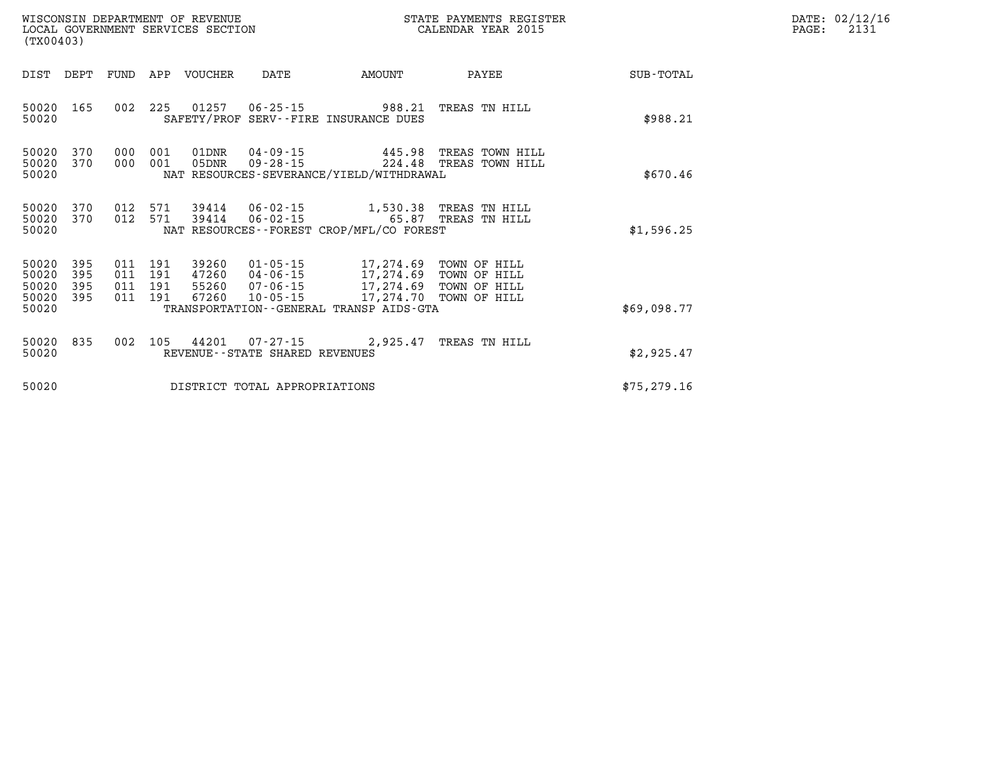|                                           | WISCONSIN DEPARTMENT OF REVENUE<br>LOCAL GOVERNMENT SERVICES SECTION<br>(TX00403) |                          |                          |                |                                        | STATE PAYMENTS REGISTER<br>CALENDAR YEAR 2015                                                                                                                             |                                                    |              |  |  |
|-------------------------------------------|-----------------------------------------------------------------------------------|--------------------------|--------------------------|----------------|----------------------------------------|---------------------------------------------------------------------------------------------------------------------------------------------------------------------------|----------------------------------------------------|--------------|--|--|
| DIST                                      | DEPT                                                                              | FUND                     | APP                      | VOUCHER        | DATE                                   | AMOUNT                                                                                                                                                                    | PAYEE                                              | SUB-TOTAL    |  |  |
| 50020<br>50020                            | 165                                                                               | 002                      | 225                      |                |                                        | 01257 06-25-15 988.21<br>SAFETY/PROF SERV--FIRE INSURANCE DUES                                                                                                            | TREAS TN HILL                                      | \$988.21     |  |  |
| 50020<br>50020<br>50020                   | 370<br>370                                                                        | 000<br>000               | 001<br>001               | 01DNR<br>05DNR |                                        | $09 - 28 - 15$ 224.48<br>NAT RESOURCES-SEVERANCE/YIELD/WITHDRAWAL                                                                                                         | 04-09-15 445.98 TREAS TOWN HILL<br>TREAS TOWN HILL | \$670.46     |  |  |
| 50020<br>50020<br>50020                   | 370<br>370                                                                        | 012<br>012               | 571                      |                | 571 39414 06-02-15<br>$39414$ 06-02-15 | NAT RESOURCES -- FOREST CROP/MFL/CO FOREST                                                                                                                                | 1,530.38 TREAS TN HILL<br>65.87 TREAS TN HILL      | \$1,596.25   |  |  |
| 50020<br>50020<br>50020<br>50020<br>50020 | 395<br>395<br>395<br>395                                                          | 011<br>011<br>011<br>011 | 191<br>191<br>191<br>191 | 39260<br>67260 | 10-05-15                               | 01-05-15 17,274.69 TOWN OF HILL<br>47260 04-06-15 17,274.69 TOWN OF HILL<br>55260 07-06-15 17,274.69 TOWN OF HILL<br>17,274.70<br>TRANSPORTATION--GENERAL TRANSP AIDS-GTA | TOWN OF HILL                                       | \$69,098.77  |  |  |
| 50020<br>50020                            | 835                                                                               | 002                      | 105                      |                | REVENUE - - STATE SHARED REVENUES      | 44201 07-27-15 2,925.47                                                                                                                                                   | TREAS TN HILL                                      | \$2,925.47   |  |  |
| 50020                                     |                                                                                   |                          |                          |                | DISTRICT TOTAL APPROPRIATIONS          |                                                                                                                                                                           |                                                    | \$75, 279.16 |  |  |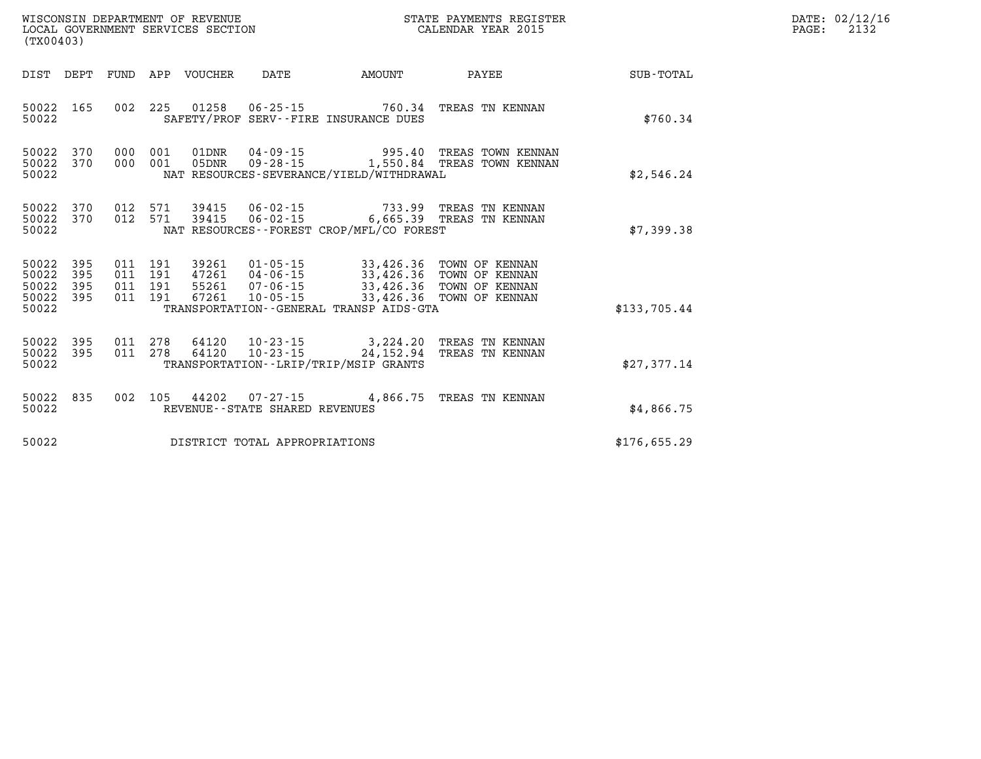| WISCONSIN DEPARTMENT OF REVENUE   | STATE PAYMENTS REGISTER |      | DATE: 02/12/16 |
|-----------------------------------|-------------------------|------|----------------|
| LOCAL GOVERNMENT SERVICES SECTION | CALENDAR YEAR 2015      | PAGE | ່າ 1 2 ″       |

| LOCAL GOVERNMENT SERVICES SECTION<br>(TX00403)    |            |  |                                          |                  |                                   |                                                                              | CALENDAR YEAR 2015                                                                                                                                                                          |              | PAGE: | 2132 |
|---------------------------------------------------|------------|--|------------------------------------------|------------------|-----------------------------------|------------------------------------------------------------------------------|---------------------------------------------------------------------------------------------------------------------------------------------------------------------------------------------|--------------|-------|------|
| DIST DEPT                                         |            |  |                                          | FUND APP VOUCHER | DATE                              |                                                                              |                                                                                                                                                                                             |              |       |      |
| 50022 165<br>50022                                |            |  |                                          |                  |                                   | SAFETY/PROF SERV--FIRE INSURANCE DUES                                        | 002 225 01258 06-25-15 760.34 TREAS TN KENNAN                                                                                                                                               | \$760.34     |       |      |
| 50022<br>50022<br>50022                           | 370<br>370 |  | 000 001<br>000 001                       |                  |                                   | NAT RESOURCES-SEVERANCE/YIELD/WITHDRAWAL                                     | 01DNR  04-09-15  995.40 TREAS TOWN KENNAN<br>05DNR  09-28-15   1,550.84 TREAS TOWN KENNAN                                                                                                   | \$2,546.24   |       |      |
| 50022 370<br>50022 370<br>50022                   |            |  |                                          |                  |                                   | NAT RESOURCES--FOREST CROP/MFL/CO FOREST                                     | 012 571 39415 06-02-15 733.99 TREAS TN KENNAN<br>012 571 39415 06-02-15 6,665.39 TREAS TN KENNAN                                                                                            | \$7,399.38   |       |      |
| 50022 395<br>50022<br>50022<br>50022 395<br>50022 | 395<br>395 |  | 011 191<br>011 191<br>011 191<br>011 191 | 39261<br>47261   |                                   | 01-05-15 33,426.36 TOWN OF KENNAN<br>TRANSPORTATION--GENERAL TRANSP AIDS-GTA | 47261 04-06-15<br>55261 07-06-15 33,426.36 TOWN OF KENNAN<br>67261 10-05-15 33,426.36 TOWN OF KENNAN                                                                                        | \$133.705.44 |       |      |
| 50022<br>50022<br>50022                           | 395<br>395 |  |                                          |                  |                                   | TRANSPORTATION - - LRIP/TRIP/MSIP GRANTS                                     | $\begin{array}{cccc} 011 & 278 & 64120 & 10\cdot 23\cdot 15 & 3,224.20 & \text{TREAS TN KENNAN} \\ 011 & 278 & 64120 & 10\cdot 23\cdot 15 & 24,152.94 & \text{TREAS TN KENNAN} \end{array}$ | \$27,377.14  |       |      |
| 50022 835<br>50022                                |            |  |                                          |                  | REVENUE - - STATE SHARED REVENUES |                                                                              | 002 105 44202 07-27-15 4,866.75 TREAS TN KENNAN                                                                                                                                             | \$4,866.75   |       |      |
| 50022                                             |            |  |                                          |                  | DISTRICT TOTAL APPROPRIATIONS     |                                                                              |                                                                                                                                                                                             | \$176,655.29 |       |      |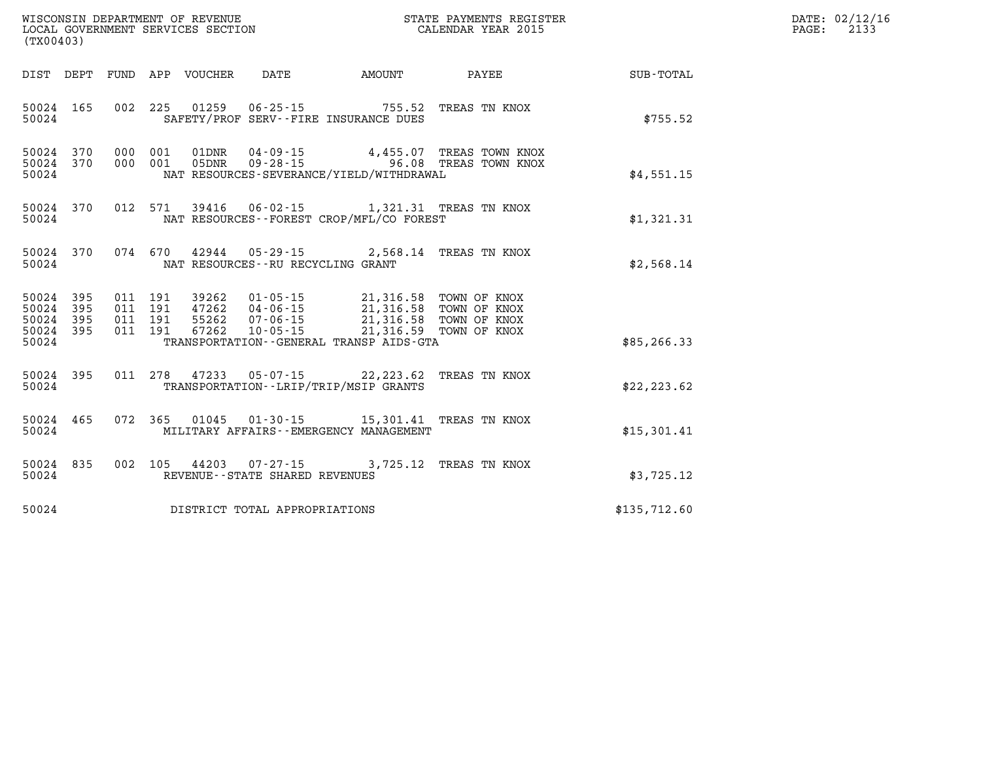| (TX00403)                                                                                                                                                                                                                                                                                                                | DATE: 02/12/16<br>$\mathtt{PAGE:}$<br>2133 |
|--------------------------------------------------------------------------------------------------------------------------------------------------------------------------------------------------------------------------------------------------------------------------------------------------------------------------|--------------------------------------------|
|                                                                                                                                                                                                                                                                                                                          |                                            |
| 002 225 01259 06-25-15 755.52 TREAS TN KNOX<br>50024 165<br>SAFETY/PROF SERV--FIRE INSURANCE DUES<br>\$755.52<br>50024                                                                                                                                                                                                   |                                            |
| 50024 370 000 001 01DNR 04-09-15 4,455.07 TREAS TOWN KNOX 50024 370 000 001 05DNR 09-28-15 4,455.08 TREAS TOWN KNOX<br>50024<br>NAT RESOURCES-SEVERANCE/YIELD/WITHDRAWAL<br>\$4,551.15                                                                                                                                   |                                            |
| 012 571 39416 06-02-15 1,321.31 TREAS TN KNOX<br>50024 370<br>NAT RESOURCES - - FOREST CROP/MFL/CO FOREST<br>50024<br>\$1,321.31                                                                                                                                                                                         |                                            |
| 50024 370 074 670 42944 05-29-15 2,568.14 TREAS TN KNOX<br>50024 NAT RESOURCES--RU RECYCLING GRANT<br>\$2,568.14                                                                                                                                                                                                         |                                            |
| 50024 395<br>011 191 39262 01-05-15 21,316.58 TOWN OF KNOX<br>011 191 47262 04-06-15 21,316.58 TOWN OF KNOX<br>011 191 55262 07-06-15 21,316.58 TOWN OF KNOX<br>011 191 67262 10-05-15 21,316.59 TOWN OF KNOX<br>50024 395<br>50024 395<br>50024 395<br>TRANSPORTATION--GENERAL TRANSP AIDS-GTA<br>50024<br>\$85, 266.33 |                                            |
| 011 278 47233 05-07-15 22,223.62 TREAS TN KNOX<br>50024 395<br>50024<br>TRANSPORTATION - - LRIP/TRIP/MSIP GRANTS<br>\$22, 223.62                                                                                                                                                                                         |                                            |
| 50024 465<br>072 365 01045 01-30-15 15,301.41 TREAS TN KNOX<br>\$15,301.41<br>50024 MILITARY AFFAIRS - EMERGENCY MANAGEMENT                                                                                                                                                                                              |                                            |
| 50024 835<br>002 105 44203 07-27-15 3,725.12 TREAS TN KNOX<br>REVENUE - - STATE SHARED REVENUES<br>50024<br>\$3,725.12                                                                                                                                                                                                   |                                            |
| 50024 DISTRICT TOTAL APPROPRIATIONS<br>\$135,712.60                                                                                                                                                                                                                                                                      |                                            |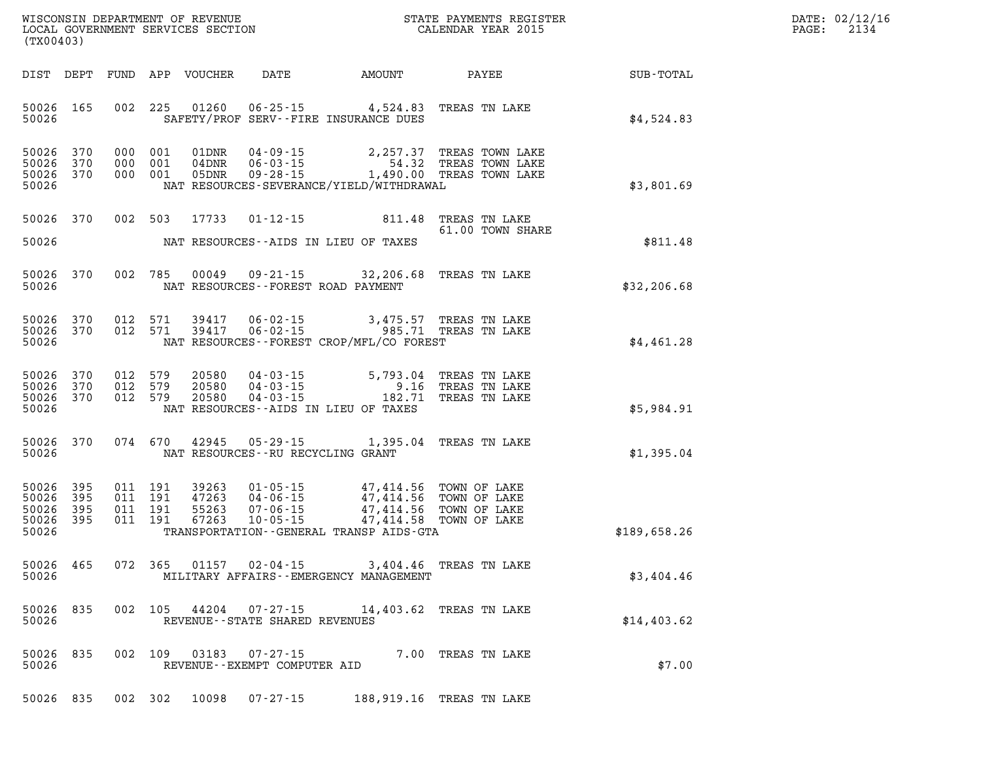| DATE: | 02/12/16 |
|-------|----------|
| PAGE: | 2134     |

| WISCONSIN DEPARTMENT OF REVENUE<br>LOCAL GOVERNMENT SERVICES SECTION TERMS CONFORMENT SERVICES SECTION<br>(TX00403) |                                            |  |         |                         |                                                    |                                                                                                                                                                                                                                                                                                                                |                                                                                                                                                    |              | DATE: 02/12/1<br>2134<br>PAGE: |
|---------------------------------------------------------------------------------------------------------------------|--------------------------------------------|--|---------|-------------------------|----------------------------------------------------|--------------------------------------------------------------------------------------------------------------------------------------------------------------------------------------------------------------------------------------------------------------------------------------------------------------------------------|----------------------------------------------------------------------------------------------------------------------------------------------------|--------------|--------------------------------|
|                                                                                                                     |                                            |  |         |                         |                                                    |                                                                                                                                                                                                                                                                                                                                |                                                                                                                                                    |              |                                |
| 50026                                                                                                               | 50026 165                                  |  |         |                         |                                                    | 002 225 01260 06-25-15 4,524.83 TREAS TN LAKE<br>SAFETY/PROF SERV--FIRE INSURANCE DUES                                                                                                                                                                                                                                         |                                                                                                                                                    | \$4,524.83   |                                |
| 50026<br>50026                                                                                                      | 50026 370<br>370<br>50026 370              |  |         |                         |                                                    | NAT RESOURCES-SEVERANCE/YIELD/WITHDRAWAL                                                                                                                                                                                                                                                                                       | 000 001 01DNR 04-09-15 2,257.37 TREAS TOWN LAKE<br>000 001 04DNR 06-03-15 54.32 TREAS TOWN LAKE<br>000 001 05DNR 09-28-15 1,490.00 TREAS TOWN LAKE | \$3,801.69   |                                |
|                                                                                                                     | 50026 370                                  |  |         |                         |                                                    | 002 503 17733 01-12-15 811.48 TREAS TN LAKE                                                                                                                                                                                                                                                                                    | 61.00 TOWN SHARE                                                                                                                                   |              |                                |
|                                                                                                                     | 50026                                      |  |         |                         |                                                    | NAT RESOURCES--AIDS IN LIEU OF TAXES                                                                                                                                                                                                                                                                                           |                                                                                                                                                    | \$811.48     |                                |
| 50026<br>50026                                                                                                      | 370                                        |  |         |                         | NAT RESOURCES--FOREST ROAD PAYMENT                 | 002 785 00049 09-21-15 32,206.68 TREAS TN LAKE                                                                                                                                                                                                                                                                                 |                                                                                                                                                    | \$32, 206.68 |                                |
| 50026                                                                                                               | 50026 370<br>50026 370                     |  |         |                         |                                                    | 012 571 39417 06-02-15 3,475.57 TREAS TN LAKE<br>012 571 39417 06-02-15 985.71 TREAS TN LAKE<br>NAT RESOURCES--FOREST CROP/MFL/CO FOREST                                                                                                                                                                                       |                                                                                                                                                    | \$4,461.28   |                                |
| 50026                                                                                                               | 50026 370<br>50026 370<br>50026 370        |  |         |                         |                                                    | 012 579 20580 04-03-15 5,793.04 TREAS TN LAKE<br>012 579 20580 04-03-15 9.16 TREAS TN LAKE<br>012 579 20580 04-03-15 182.71 TREAS TN LAKE<br>NAT RESOURCES--AIDS IN LIEU OF TAXES                                                                                                                                              |                                                                                                                                                    | \$5,984.91   |                                |
| 50026                                                                                                               |                                            |  |         |                         | NAT RESOURCES--RU RECYCLING GRANT                  | 50026 370 074 670 42945 05-29-15 1,395.04 TREAS TN LAKE                                                                                                                                                                                                                                                                        |                                                                                                                                                    | \$1,395.04   |                                |
| 50026<br>50026                                                                                                      | 50026 395<br>395<br>50026 395<br>50026 395 |  |         |                         |                                                    | $\begin{tabular}{cccccc} 011 & 191 & 39263 & 01-05-15 & 47,414.56 & TOWN OF LAKE \\ 011 & 191 & 47263 & 04-06-15 & 47,414.56 & TOWN OF LAKE \\ 011 & 191 & 55263 & 07-06-15 & 47,414.56 & TOWN OF LAKE \\ 011 & 191 & 67263 & 10-05-15 & 47,414.58 & TOWN OF LAKE \\ \end{tabular}$<br>TRANSPORTATION--GENERAL TRANSP AIDS-GTA |                                                                                                                                                    | \$189,658.26 |                                |
| 50026                                                                                                               |                                            |  |         | 50026 465 072 365 01157 | 02-04-15                                           | 3,404.46 TREAS TN LAKE<br>MILITARY AFFAIRS - - EMERGENCY MANAGEMENT                                                                                                                                                                                                                                                            |                                                                                                                                                    | \$3,404.46   |                                |
| 50026<br>50026                                                                                                      | 835                                        |  |         | 002 105 44204           | REVENUE--STATE SHARED REVENUES                     | 07-27-15 14,403.62 TREAS TN LAKE                                                                                                                                                                                                                                                                                               |                                                                                                                                                    | \$14,403.62  |                                |
| 50026                                                                                                               | 50026 835                                  |  | 002 109 |                         | $03183$ $07-27-15$<br>REVENUE--EXEMPT COMPUTER AID |                                                                                                                                                                                                                                                                                                                                | 7.00 TREAS TN LAKE                                                                                                                                 | \$7.00       |                                |

**50026 835 002 302 10098 07-27-15 188,919.16 TREAS TN LAKE**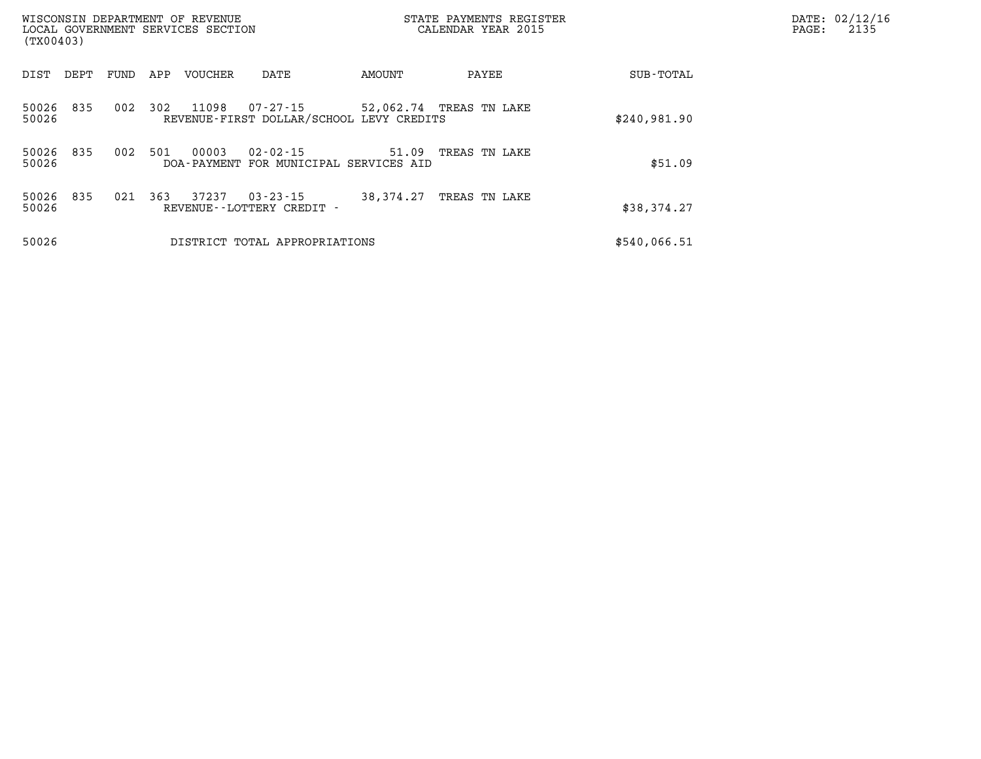| (TX00403)          |      |      |     | WISCONSIN DEPARTMENT OF REVENUE<br>LOCAL GOVERNMENT SERVICES SECTION |                                                      |                         | STATE PAYMENTS REGISTER<br>CALENDAR YEAR 2015 | DATE: 02/12/16<br>PAGE:<br>2135 |  |
|--------------------|------|------|-----|----------------------------------------------------------------------|------------------------------------------------------|-------------------------|-----------------------------------------------|---------------------------------|--|
| DIST               | DEPT | FUND | APP | <b>VOUCHER</b>                                                       | DATE                                                 | AMOUNT                  | PAYEE                                         | SUB-TOTAL                       |  |
| 50026<br>50026     | 835  | 002  | 302 | 11098                                                                | 07-27-15<br>REVENUE-FIRST DOLLAR/SCHOOL LEVY CREDITS | 52,062.74 TREAS TN LAKE |                                               | \$240,981.90                    |  |
| 50026 835<br>50026 |      | 002  | 501 | 00003<br>DOA - PAYMENT                                               | $02 - 02 - 15$<br>FOR MUNICIPAL SERVICES AID         | 51.09                   | TREAS TN LAKE                                 | \$51.09                         |  |
| 50026<br>50026     | 835  | 021  | 363 | 37237                                                                | $03 - 23 - 15$<br>REVENUE - - LOTTERY CREDIT -       | 38,374.27               | TREAS TN LAKE                                 | \$38,374.27                     |  |
| 50026              |      |      |     |                                                                      | DISTRICT TOTAL APPROPRIATIONS                        |                         |                                               | \$540,066.51                    |  |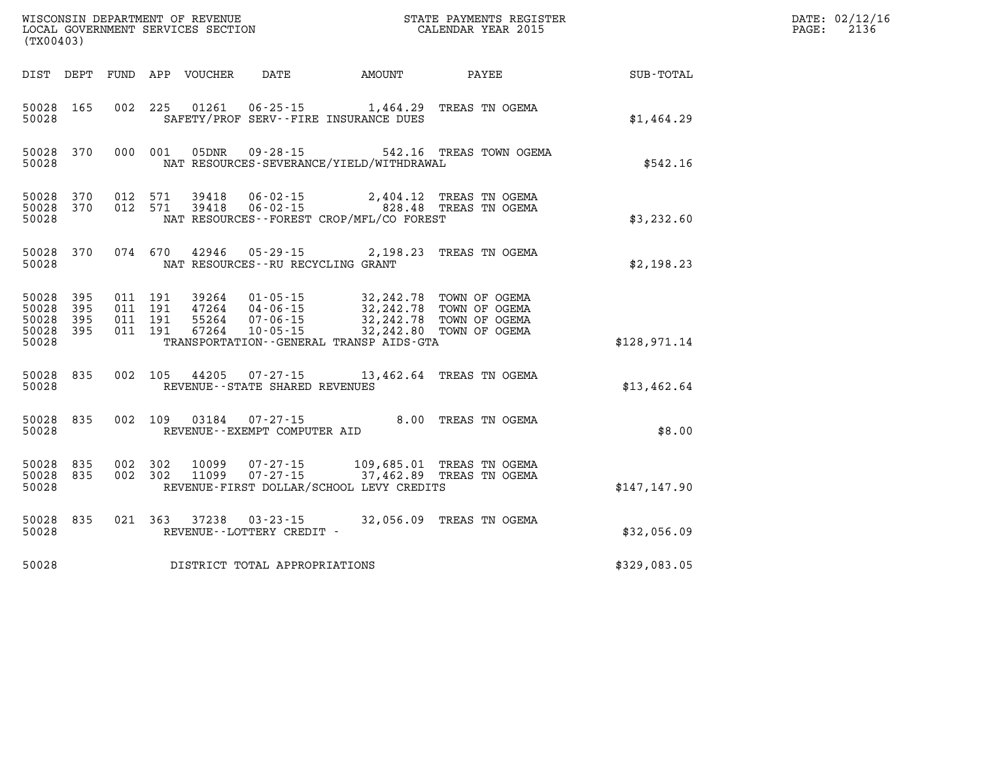| (TX00403)                                         |            |                                          |         | WISCONSIN DEPARTMENT OF REVENUE<br>LOCAL GOVERNMENT SERVICES SECTION |                                                        |                                                                                                                                                                                                                       | STATE PAYMENTS REGISTER<br>CALENDAR YEAR 2015                           |               | DATE: 02/12/16<br>PAGE:<br>2136 |
|---------------------------------------------------|------------|------------------------------------------|---------|----------------------------------------------------------------------|--------------------------------------------------------|-----------------------------------------------------------------------------------------------------------------------------------------------------------------------------------------------------------------------|-------------------------------------------------------------------------|---------------|---------------------------------|
|                                                   |            |                                          |         | DIST DEPT FUND APP VOUCHER                                           | DATE                                                   | AMOUNT                                                                                                                                                                                                                | PAYEE                                                                   | SUB-TOTAL     |                                 |
| 50028 165<br>50028                                |            |                                          |         | 002 225 01261                                                        |                                                        | $06 - 25 - 15$ 1,464.29<br>SAFETY/PROF SERV--FIRE INSURANCE DUES                                                                                                                                                      | TREAS TN OGEMA                                                          | \$1,464.29    |                                 |
| 50028                                             | 50028 370  |                                          | 000 001 | 05DNR                                                                |                                                        | NAT RESOURCES-SEVERANCE/YIELD/WITHDRAWAL                                                                                                                                                                              | 09-28-15 542.16 TREAS TOWN OGEMA                                        | \$542.16      |                                 |
| 50028 370<br>50028 370<br>50028                   |            | 012 571<br>012 571                       |         |                                                                      |                                                        | NAT RESOURCES--FOREST CROP/MFL/CO FOREST                                                                                                                                                                              |                                                                         | \$3,232.60    |                                 |
| 50028                                             | 50028 370  |                                          |         |                                                                      | NAT RESOURCES - - RU RECYCLING GRANT                   |                                                                                                                                                                                                                       | 074 670 42946 05-29-15 2,198.23 TREAS TN OGEMA                          | \$2,198.23    |                                 |
| 50028 395<br>50028<br>50028<br>50028 395<br>50028 | 395<br>395 | 011 191<br>011 191<br>011 191<br>011 191 |         |                                                                      |                                                        | 39264 01-05-15 32,242.78 TOWN OF OGEMA<br>47264 04-06-15 32,242.78 TOWN OF OGEMA<br>55264  07-06-15  32,242.78  TOWN OF OGEMA<br>67264  10-05-15  32,242.80  TOWN OF OGEMA<br>TRANSPORTATION--GENERAL TRANSP AIDS-GTA |                                                                         | \$128,971.14  |                                 |
| 50028 835<br>50028                                |            |                                          |         |                                                                      | REVENUE - - STATE SHARED REVENUES                      |                                                                                                                                                                                                                       | 002 105 44205 07-27-15 13,462.64 TREAS TN OGEMA                         | \$13,462.64   |                                 |
| 50028 835<br>50028                                |            |                                          |         |                                                                      | 002 109 03184 07-27-15<br>REVENUE--EXEMPT COMPUTER AID |                                                                                                                                                                                                                       | 8.00 TREAS TN OGEMA                                                     | \$8.00        |                                 |
| 50028<br>50028 835<br>50028                       | 835        | 002 302<br>002 302                       |         | 10099<br>11099                                                       |                                                        | REVENUE-FIRST DOLLAR/SCHOOL LEVY CREDITS                                                                                                                                                                              | 07-27-15 109,685.01 TREAS TN OGEMA<br>07-27-15 37,462.89 TREAS TN OGEMA | \$147, 147.90 |                                 |
| 50028                                             | 50028 835  |                                          |         | 021 363 37238                                                        | 03-23-15<br>REVENUE--LOTTERY CREDIT -                  |                                                                                                                                                                                                                       | 32,056.09 TREAS TN OGEMA                                                | \$32,056.09   |                                 |
| 50028                                             |            |                                          |         |                                                                      | DISTRICT TOTAL APPROPRIATIONS                          |                                                                                                                                                                                                                       |                                                                         | \$329,083.05  |                                 |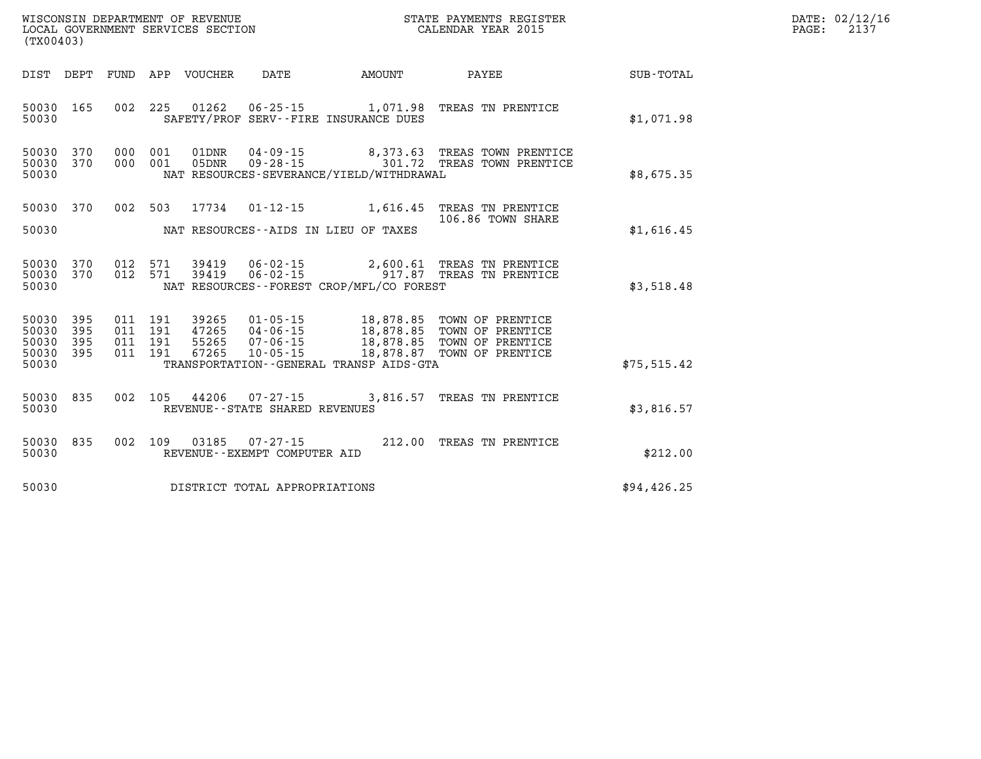| DATE: | 02/12/16 |
|-------|----------|
| PAGE: | 2137     |

| WISCONSIN DEPARTMENT OF REVENUE<br>(TX00403)                                                      | LOCAL GOVERNMENT SERVICES SECTION                                                                                                                                               |                                                  | STATE PAYMENTS REGISTER<br>CALENDAR YEAR 2015                                |                  |
|---------------------------------------------------------------------------------------------------|---------------------------------------------------------------------------------------------------------------------------------------------------------------------------------|--------------------------------------------------|------------------------------------------------------------------------------|------------------|
| DIST<br>FUND<br>DEPT                                                                              | APP<br>VOUCHER<br>DATE                                                                                                                                                          | <b>AMOUNT</b>                                    | PAYEE                                                                        | <b>SUB-TOTAL</b> |
| 165<br>002<br>50030<br>50030                                                                      | 225<br>01262<br>SAFETY/PROF SERV--FIRE INSURANCE DUES                                                                                                                           |                                                  | 06-25-15 1,071.98 TREAS TN PRENTICE                                          | \$1.071.98       |
| 50030<br>370<br>000<br>370<br>000<br>50030<br>50030                                               | 001<br>01DNR<br>$04 - 09 - 15$<br>001<br>$09 - 28 - 15$<br>05DNR<br>NAT RESOURCES-SEVERANCE/YIELD/WITHDRAWAL                                                                    | 301.72                                           | 8,373.63 TREAS TOWN PRENTICE<br>TREAS TOWN PRENTICE                          | \$8,675.35       |
| 370<br>002<br>50030<br>50030                                                                      | 503<br>17734<br>$01 - 12 - 15$<br>NAT RESOURCES -- AIDS IN LIEU OF TAXES                                                                                                        | 1,616.45                                         | TREAS TN PRENTICE<br>106.86 TOWN SHARE                                       | \$1,616.45       |
| 370<br>012<br>50030<br>370<br>012<br>50030<br>50030                                               | 571<br>06-02-15<br>39419<br>571<br>39419<br>NAT RESOURCES - - FOREST CROP/MFL/CO FOREST                                                                                         | 2,600.61                                         | TREAS TN PRENTICE<br>06-02-15 917.87 TREAS TN PRENTICE                       | \$3,518.48       |
| 50030<br>395<br>011<br>50030<br>395<br>011<br>50030<br>395<br>011<br>395<br>011<br>50030<br>50030 | 191<br>39265<br>$01 - 05 - 15$<br>191<br>47265<br>$04 - 06 - 15$<br>191<br>55265<br>$07 - 06 - 15$<br>191<br>67265<br>$10 - 05 - 15$<br>TRANSPORTATION--GENERAL TRANSP AIDS-GTA | 18,878.85<br>18,878.85<br>18,878.85<br>18,878.87 | TOWN OF PRENTICE<br>TOWN OF PRENTICE<br>TOWN OF PRENTICE<br>TOWN OF PRENTICE | \$75, 515.42     |
| 002<br>835<br>50030<br>50030                                                                      | 105<br>44206<br>$07 - 27 - 15$<br>REVENUE - - STATE SHARED REVENUES                                                                                                             | 3,816.57                                         | TREAS TN PRENTICE                                                            | \$3,816.57       |
| 002<br>50030<br>835<br>50030                                                                      | 109<br>03185<br>$07 - 27 - 15$<br>REVENUE--EXEMPT COMPUTER AID                                                                                                                  | 212.00                                           | TREAS TN PRENTICE                                                            | \$212.00         |
| 50030                                                                                             | DISTRICT TOTAL APPROPRIATIONS                                                                                                                                                   |                                                  |                                                                              | \$94,426.25      |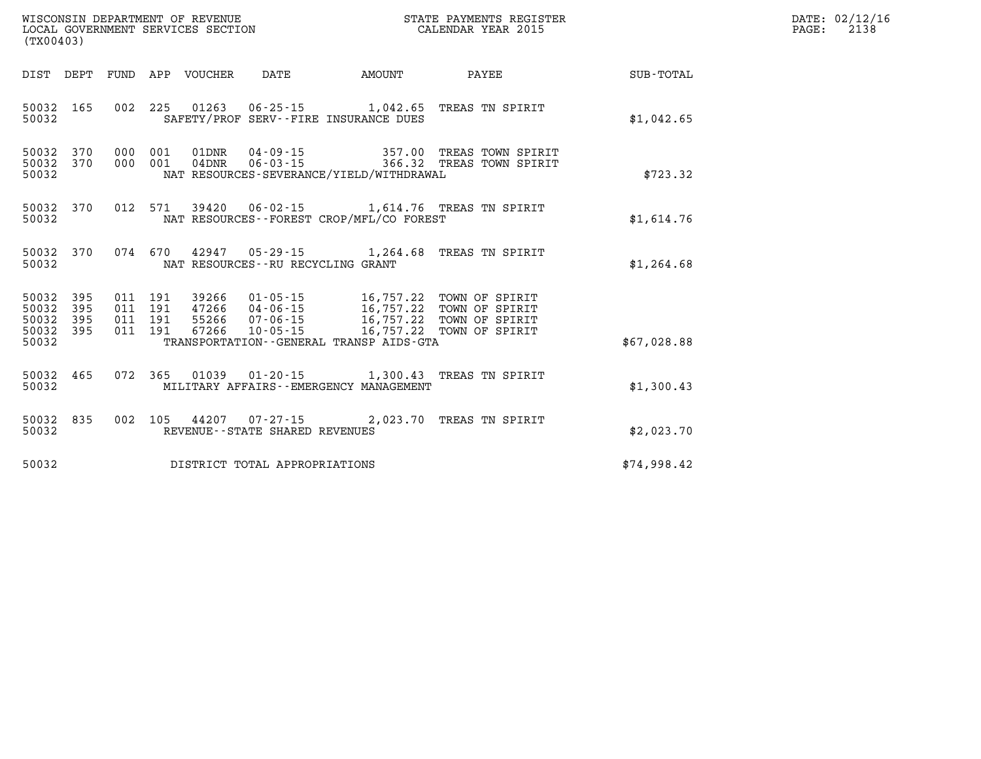| (TX00403)                                     |                   |  |                            |                                   |                                           |                                                                                                                                                                                                          |             | DATE: 02/12/16<br>2138<br>$\mathtt{PAGE}$ : |
|-----------------------------------------------|-------------------|--|----------------------------|-----------------------------------|-------------------------------------------|----------------------------------------------------------------------------------------------------------------------------------------------------------------------------------------------------------|-------------|---------------------------------------------|
|                                               |                   |  | DIST DEPT FUND APP VOUCHER | DATE                              | AMOUNT PAYEE                              |                                                                                                                                                                                                          | SUB-TOTAL   |                                             |
| 50032 165<br>50032                            |                   |  |                            |                                   | SAFETY/PROF SERV--FIRE INSURANCE DUES     | 002 225 01263 06-25-15 1,042.65 TREAS TN SPIRIT                                                                                                                                                          | \$1,042.65  |                                             |
| 50032 370<br>50032 370<br>50032               |                   |  |                            |                                   | NAT RESOURCES-SEVERANCE/YIELD/WITHDRAWAL  | 000 001 01DNR 04-09-15 357.00 TREAS TOWN SPIRIT 000 001 04DNR 06-03-15 366.32 TREAS TOWN SPIRIT                                                                                                          | \$723.32    |                                             |
| 50032 370<br>50032                            |                   |  |                            |                                   | NAT RESOURCES--FOREST CROP/MFL/CO FOREST  | 012 571 39420 06-02-15 1,614.76 TREAS TN SPIRIT                                                                                                                                                          | \$1,614.76  |                                             |
| 50032 370<br>50032                            |                   |  |                            | NAT RESOURCES--RU RECYCLING GRANT |                                           | 074 670 42947 05-29-15 1,264.68 TREAS TN SPIRIT                                                                                                                                                          | \$1,264.68  |                                             |
| 50032<br>50032<br>50032<br>50032 395<br>50032 | 395<br>395<br>395 |  |                            |                                   | TRANSPORTATION--GENERAL TRANSP AIDS-GTA   | 011 191 39266 01-05-15 16,757.22 TOWN OF SPIRIT<br>011 191 47266 04-06-15 16,757.22 TOWN OF SPIRIT<br>011 191 55266 07-06-15 16,757.22 TOWN OF SPIRIT<br>011 191 67266 10-05-15 16,757.22 TOWN OF SPIRIT | \$67.028.88 |                                             |
|                                               |                   |  |                            |                                   |                                           |                                                                                                                                                                                                          |             |                                             |
| 50032 465<br>50032                            |                   |  |                            |                                   | MILITARY AFFAIRS - - EMERGENCY MANAGEMENT | 072 365 01039 01-20-15 1,300.43 TREAS TN SPIRIT                                                                                                                                                          | \$1,300.43  |                                             |
| 50032 835<br>50032                            |                   |  |                            | REVENUE - - STATE SHARED REVENUES |                                           | 002 105 44207 07-27-15 2,023.70 TREAS TN SPIRIT                                                                                                                                                          | \$2,023.70  |                                             |
| 50032                                         |                   |  |                            | DISTRICT TOTAL APPROPRIATIONS     |                                           |                                                                                                                                                                                                          | \$74,998.42 |                                             |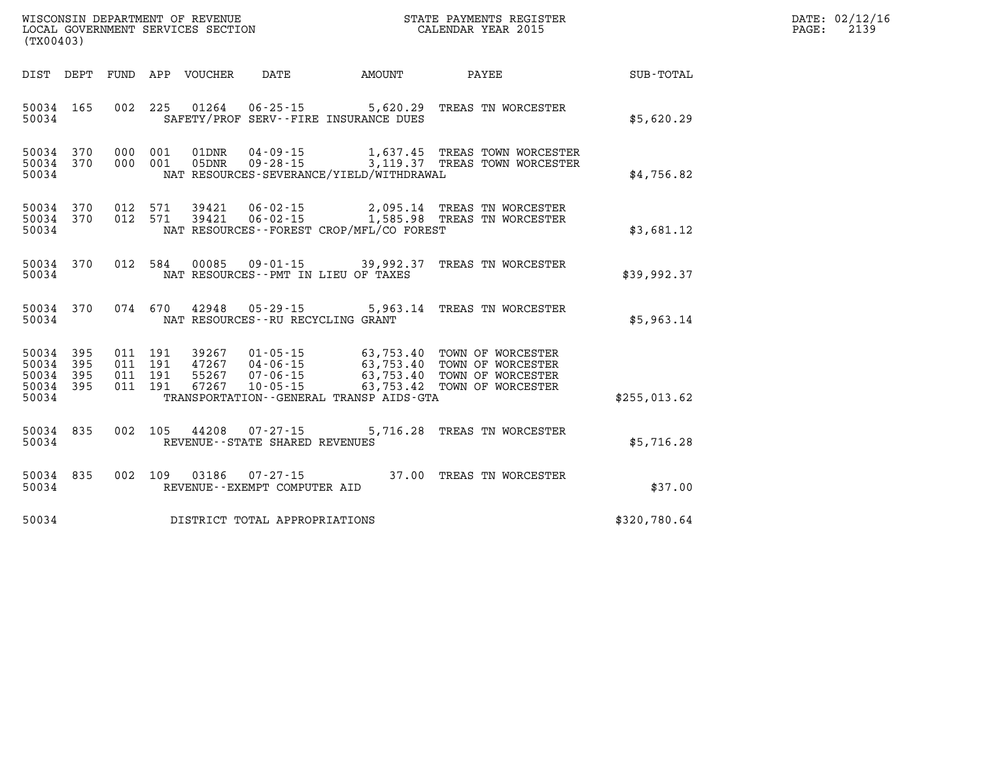| (TX00403)                   |           |                |            | WISCONSIN DEPARTMENT OF REVENUE<br>LOCAL GOVERNMENT SERVICES SECTION |          |                                                                                                                             | STATE PAYMENTS REGISTER<br>CALENDAR YEAR 2015 |             | $\mathtt{PAGE}$ : | DATE: 02/12/16<br>2139 |
|-----------------------------|-----------|----------------|------------|----------------------------------------------------------------------|----------|-----------------------------------------------------------------------------------------------------------------------------|-----------------------------------------------|-------------|-------------------|------------------------|
| DIST DEPT                   |           | FUND           | APP        | VOUCHER                                                              | DATE     | AMOUNT                                                                                                                      | PAYEE                                         | SUB-TOTAL   |                   |                        |
| 50034                       | 50034 165 | 002            |            |                                                                      |          | 225 01264 06-25-15 5,620.29<br>SAFETY/PROF SERV--FIRE INSURANCE DUES                                                        | TREAS TN WORCESTER                            | \$5,620.29  |                   |                        |
| 50034<br>50034 370<br>50034 | 370       | 000<br>000     | 001<br>001 | 01DNR<br>05DNR                                                       |          | 09-28-15 3,119.37 TREAS TOWN WORCESTER<br>NAT RESOURCES-SEVERANCE/YIELD/WITHDRAWAL                                          |                                               | \$4,756.82  |                   |                        |
| 50034 370<br>50034          | 50034 370 | 012<br>012 571 | 571        | 39421<br>39421                                                       |          | 06-02-15 2,095.14 TREAS TN WORCESTER<br>06-02-15 1,585.98 TREAS TN WORCESTER<br>NAT RESOURCES - - FOREST CROP/MFL/CO FOREST |                                               | \$3,681.12  |                   |                        |
| 50034 370<br>50034          |           | 012            | 584        |                                                                      |          | 00085 09-01-15 39,992.37<br>NAT RESOURCES - PMT IN LIEU OF TAXES                                                            | TREAS TN WORCESTER                            | \$39,992.37 |                   |                        |
| 50034 370<br>50034          |           | 074            | 670        | 42948                                                                | 05-29-15 | NAT RESOURCES - - RU RECYCLING GRANT                                                                                        | 5,963.14 TREAS TN WORCESTER                   | \$5,963.14  |                   |                        |

|                   |  |       | 50034 395 011 191 39267 01-05-15 | 63,753.40 TOWN OF WORCESTER             |  |              |
|-------------------|--|-------|----------------------------------|-----------------------------------------|--|--------------|
| 50034 395 011 191 |  | 47267 | 04 - 06 - 15                     | 63,753.40 TOWN OF WORCESTER             |  |              |
| 50034 395 011 191 |  |       | 55267 07-06-15                   | 63,753.40 TOWN OF WORCESTER             |  |              |
|                   |  |       | 50034 395 011 191 67267 10-05-15 | 63,753.42 TOWN OF WORCESTER             |  |              |
| 50034             |  |       |                                  | TRANSPORTATION--GENERAL TRANSP AIDS-GTA |  | \$255,013.62 |

|       |  |  | 50034 835 002 105 44208 07-27-15 | 5,716.28 TREAS TN WORCESTER |            |
|-------|--|--|----------------------------------|-----------------------------|------------|
| 50034 |  |  | REVENUE--STATE SHARED REVENUES   |                             | \$5,716.28 |

| 50034 835 |  |  | 002 109 03186 07-27-15       | 37.00 |  | TREAS TN WORCESTER |         |  |
|-----------|--|--|------------------------------|-------|--|--------------------|---------|--|
| 50034     |  |  | REVENUE--EXEMPT COMPUTER AID |       |  |                    | \$37.00 |  |

**50034 DISTRICT TOTAL APPROPRIATIONS \$320,780.64**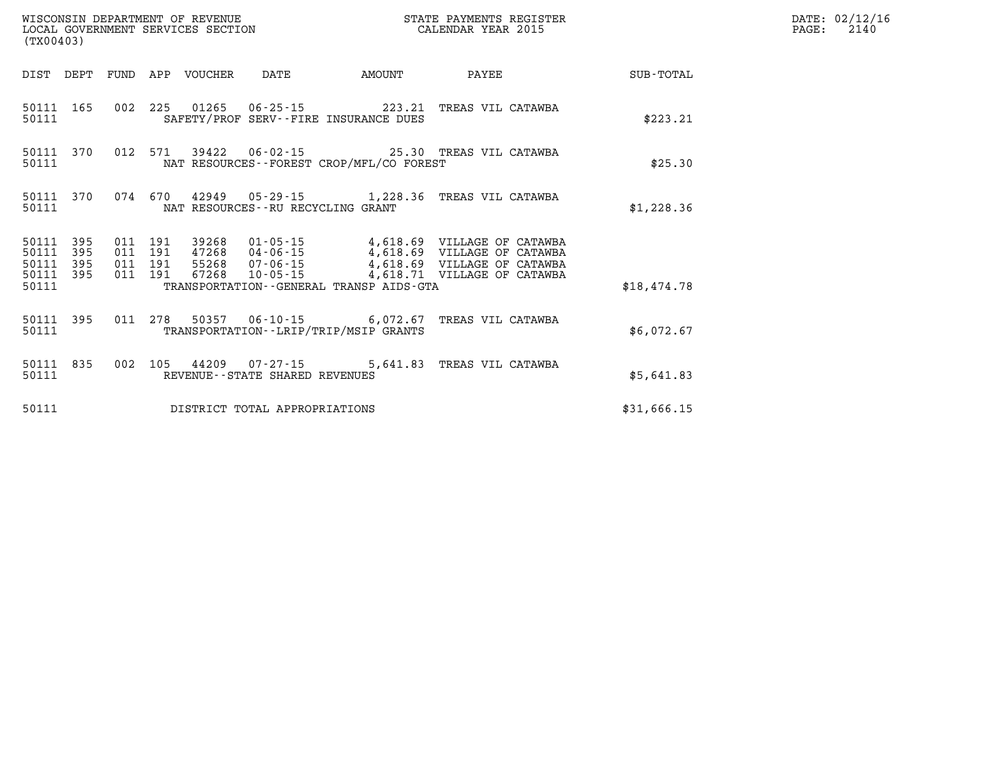| (TX00403)          |                               |         |                               |                                 |                                   |                                              | STATE PAYMENTS REGISTER                                                                                                                                                                          |             | DATE: 02/12/16<br>PAGE: 2140 |
|--------------------|-------------------------------|---------|-------------------------------|---------------------------------|-----------------------------------|----------------------------------------------|--------------------------------------------------------------------------------------------------------------------------------------------------------------------------------------------------|-------------|------------------------------|
|                    |                               |         |                               | DIST DEPT FUND APP VOUCHER DATE |                                   | AMOUNT                                       | PAYEE                                                                                                                                                                                            | SUB-TOTAL   |                              |
| 50111              |                               |         |                               |                                 |                                   | SAFETY/PROF SERV--FIRE INSURANCE DUES        | 50111 165 002 225 01265 06-25-15 223.21 TREAS VIL CATAWBA                                                                                                                                        | \$223.21    |                              |
| 50111              |                               |         |                               |                                 |                                   | NAT RESOURCES - - FOREST CROP/MFL/CO FOREST  | 50111 370 012 571 39422 06-02-15 25.30 TREAS VIL CATAWBA                                                                                                                                         | \$25.30     |                              |
| 50111              |                               |         |                               |                                 | NAT RESOURCES--RU RECYCLING GRANT |                                              | 50111 370 074 670 42949 05-29-15 1,228.36 TREAS VIL CATAWBA                                                                                                                                      | \$1,228.36  |                              |
| 50111 395<br>50111 | 50111 395<br>395<br>50111 395 | 011 191 | 011 191<br>011 191<br>011 191 |                                 |                                   |                                              | 39268  01-05-15  4,618.69  VILLAGE OF CATAWBA<br>47268  04-06-15  4,618.69  VILLAGE OF CATAWBA<br>55268  07-06-15  4,618.69  VILLAGE OF CATAWBA<br>67268  10-05-15  4,618.71  VILLAGE OF CATAWBA |             |                              |
| 50111              |                               |         |                               |                                 |                                   | TRANSPORTATION - - GENERAL TRANSP AIDS - GTA |                                                                                                                                                                                                  | \$18,474.78 |                              |
| 50111              |                               |         |                               |                                 |                                   | TRANSPORTATION - - LRIP/TRIP/MSIP GRANTS     | 50111 395 011 278 50357 06-10-15 6,072.67 TREAS VIL CATAWBA                                                                                                                                      | \$6.072.67  |                              |
| 50111              |                               |         |                               |                                 | REVENUE--STATE SHARED REVENUES    |                                              | 50111 835 002 105 44209 07-27-15 5,641.83 TREAS VIL CATAWBA                                                                                                                                      | \$5,641.83  |                              |
| 50111              |                               |         |                               |                                 | DISTRICT TOTAL APPROPRIATIONS     |                                              |                                                                                                                                                                                                  | \$31,666.15 |                              |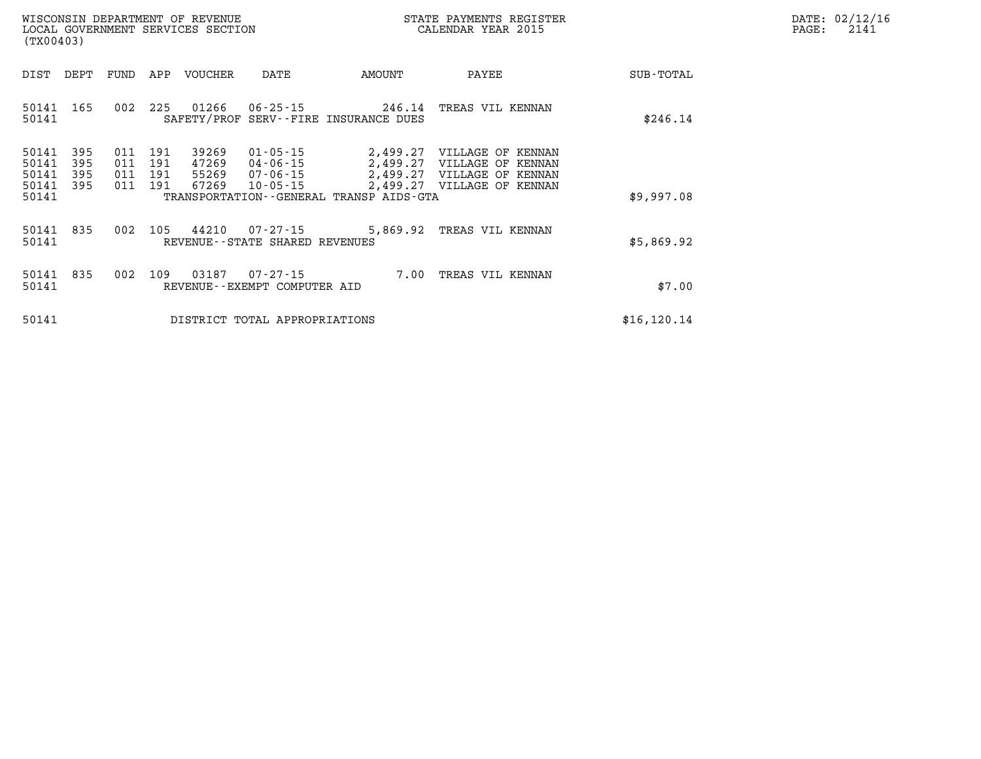| DATE:             | 02/12/16 |
|-------------------|----------|
| $\mathtt{PAGE}$ : | 2141     |

| (TX00403)                                                                                         | LOCAL GOVERNMENT SERVICES SECTION                                                                                                                                        | CALENDAR YEAR 2015                                                                                                                       | 2141<br>PAGE: |
|---------------------------------------------------------------------------------------------------|--------------------------------------------------------------------------------------------------------------------------------------------------------------------------|------------------------------------------------------------------------------------------------------------------------------------------|---------------|
| DEPT<br>FUND<br>DIST                                                                              | APP<br>VOUCHER<br>DATE                                                                                                                                                   | AMOUNT<br>PAYEE<br>SUB-TOTAL                                                                                                             |               |
| 165<br>50141<br>002<br>50141                                                                      | 225<br>01266<br>06-25-15<br>SAFETY/PROF SERV--FIRE INSURANCE DUES                                                                                                        | 246.14<br>TREAS VIL KENNAN<br>\$246.14                                                                                                   |               |
| 50141<br>395<br>011<br>50141<br>395<br>011<br>50141<br>395<br>011<br>50141<br>395<br>011<br>50141 | 191<br>39269<br>$01 - 05 - 15$<br>191<br>47269<br>04-06-15<br>191<br>55269<br>07-06-15<br>191<br>67269<br>$10 - 05 - 15$<br>TRANSPORTATION - - GENERAL TRANSP AIDS - GTA | 2,499.27<br>VILLAGE OF KENNAN<br>2,499.27<br>VILLAGE OF KENNAN<br>2,499.27 VILLAGE OF KENNAN<br>2,499.27 VILLAGE OF KENNAN<br>\$9,997.08 |               |
| 002<br>50141<br>835<br>50141                                                                      | 44210<br>105<br>07-27-15<br>REVENUE--STATE SHARED REVENUES                                                                                                               | 5,869.92 TREAS VIL KENNAN<br>\$5,869.92                                                                                                  |               |
| 50141<br>002<br>835<br>50141                                                                      | 109<br>03187<br>$07 - 27 - 15$<br>REVENUE--EXEMPT COMPUTER AID                                                                                                           | TREAS VIL KENNAN<br>7.00<br>\$7.00                                                                                                       |               |
| 50141                                                                                             | DISTRICT TOTAL APPROPRIATIONS                                                                                                                                            | \$16, 120.14                                                                                                                             |               |

WISCONSIN DEPARTMENT OF REVENUE **STATE PAYMENTS REGISTER**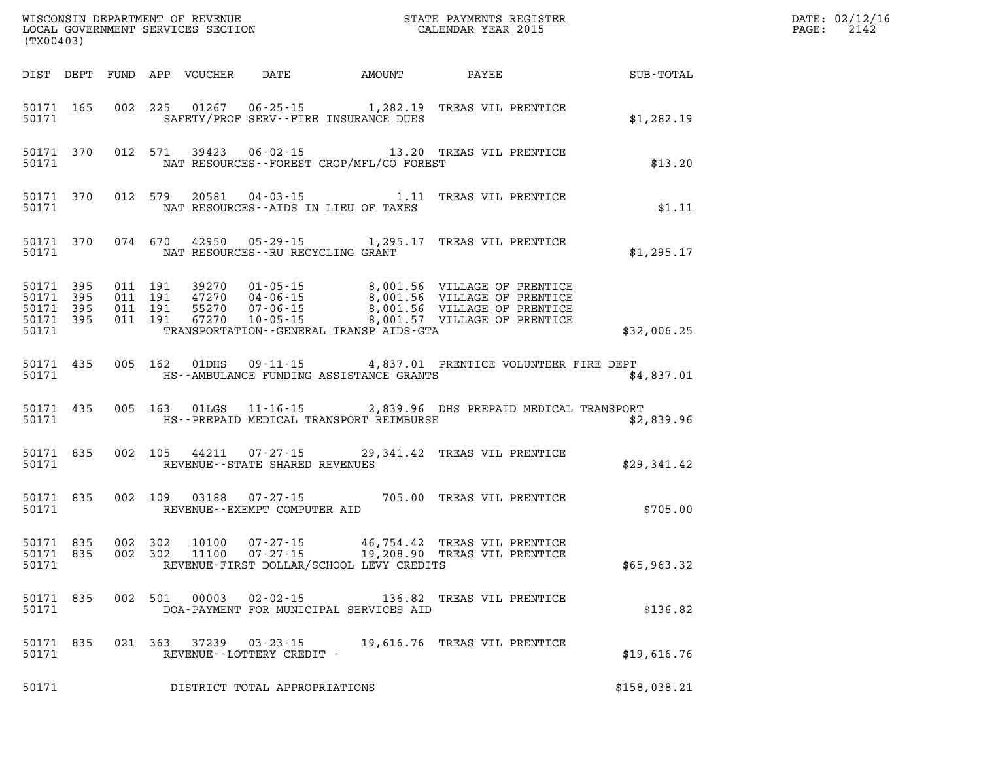| (TX00403) |                                                  |  |                                |                                          | WISCONSIN DEPARTMENT OF REVENUE<br>LOCAL GOVERNMENT SERVICES SECTION FOR THE STATE PAYMENTS REGISTER<br>(TWOO403)                                                                                                        | DATE: 02/12/16<br>$\mathtt{PAGE:}$<br>2142 |  |
|-----------|--------------------------------------------------|--|--------------------------------|------------------------------------------|--------------------------------------------------------------------------------------------------------------------------------------------------------------------------------------------------------------------------|--------------------------------------------|--|
|           |                                                  |  |                                |                                          | DIST DEPT FUND APP VOUCHER DATE AMOUNT PAYEE                                                                                                                                                                             | SUB-TOTAL                                  |  |
| 50171     | 50171 165                                        |  |                                | SAFETY/PROF SERV--FIRE INSURANCE DUES    | 002 225 01267 06-25-15 1,282.19 TREAS VIL PRENTICE                                                                                                                                                                       | \$1,282.19                                 |  |
| 50171     |                                                  |  |                                | NAT RESOURCES--FOREST CROP/MFL/CO FOREST | 50171 370 012 571 39423 06-02-15 13.20 TREAS VIL PRENTICE                                                                                                                                                                | \$13.20                                    |  |
| 50171     |                                                  |  |                                | NAT RESOURCES--AIDS IN LIEU OF TAXES     | 50171 370 012 579 20581 04-03-15 1.11 TREAS VIL PRENTICE                                                                                                                                                                 | \$1.11                                     |  |
| 50171     |                                                  |  |                                | NAT RESOURCES--RU RECYCLING GRANT        | 50171 370 074 670 42950 05-29-15 1,295.17 TREAS VIL PRENTICE                                                                                                                                                             | \$1,295.17                                 |  |
| 50171     | 50171 395<br>50171 395<br>50171 395<br>50171 395 |  |                                | TRANSPORTATION - GENERAL TRANSP AIDS-GTA | 011 191 39270 01-05-15 8,001.56 VILLAGE OF PRENTICE<br>011 191 47270 04-06-15 8,001.56 VILLAGE OF PRENTICE<br>011 191 55270 07-06-15 8,001.56 VILLAGE OF PRENTICE<br>011 191 67270 10-05-15 8,001.57 VILLAGE OF PRENTICE | \$32,006.25                                |  |
| 50171     | 50171 435                                        |  |                                | HS--AMBULANCE FUNDING ASSISTANCE GRANTS  | 005 162 01DHS 09-11-15 4,837.01 PRENTICE VOLUNTEER FIRE DEPT                                                                                                                                                             | \$4,837.01                                 |  |
| 50171     | 50171 435                                        |  |                                | HS--PREPAID MEDICAL TRANSPORT REIMBURSE  | 005 163 01LGS 11-16-15 2,839.96 DHS PREPAID MEDICAL TRANSPORT                                                                                                                                                            | \$2,839.96                                 |  |
| 50171     | 50171 835                                        |  | REVENUE--STATE SHARED REVENUES |                                          | 002 105 44211 07-27-15 29,341.42 TREAS VIL PRENTICE                                                                                                                                                                      | \$29,341.42                                |  |
| 50171     | 50171 835                                        |  | REVENUE--EXEMPT COMPUTER AID   |                                          | 002 109 03188 07-27-15 705.00 TREAS VIL PRENTICE                                                                                                                                                                         | \$705.00                                   |  |
| 50171     | 50171 835<br>50171 835                           |  |                                |                                          | 002 302 10100 07-27-15 46,754.42 TREAS VIL PRENTICE<br>002 302 11100 07-27-15 19,208.90 TREAS VIL PRENTICE<br>REVENUE-FIRST DOLLAR/SCHOOL LEVY CREDITS                                                                   | \$65,963.32                                |  |
| 50171     | 50171 835                                        |  |                                | DOA-PAYMENT FOR MUNICIPAL SERVICES AID   | 002 501 00003 02-02-15 136.82 TREAS VIL PRENTICE                                                                                                                                                                         | \$136.82                                   |  |
| 50171     | 50171 835                                        |  |                                |                                          |                                                                                                                                                                                                                          | \$19,616.76                                |  |
| 50171     |                                                  |  | DISTRICT TOTAL APPROPRIATIONS  |                                          |                                                                                                                                                                                                                          | \$158,038.21                               |  |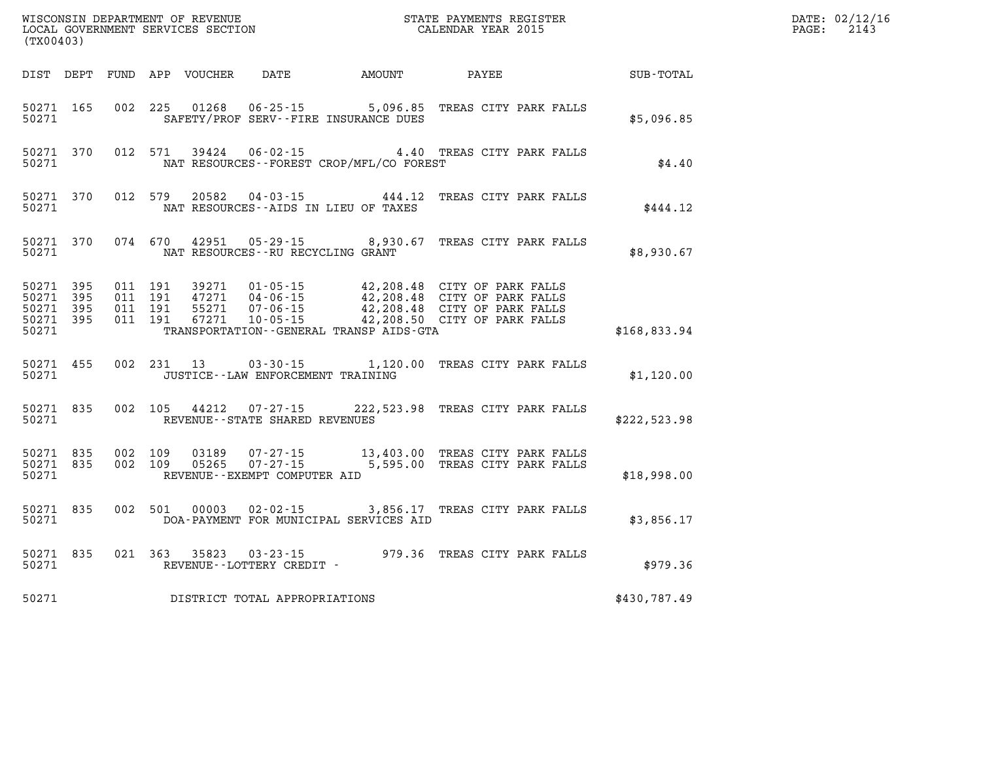| (TX00403)                       |                        |                                          |                         |                                                |                                              | WISCONSIN DEPARTMENT OF REVENUE<br>LOCAL GOVERNMENT SERVICES SECTION THE STATE PAYMENTS REGISTER<br>CALENDAR YEAR 2015                                                                               | $\mathbb{R}^n$ | DATE: 02/12/16<br>$\mathtt{PAGE:}$<br>2143 |
|---------------------------------|------------------------|------------------------------------------|-------------------------|------------------------------------------------|----------------------------------------------|------------------------------------------------------------------------------------------------------------------------------------------------------------------------------------------------------|----------------|--------------------------------------------|
|                                 |                        |                                          |                         |                                                | DIST DEPT FUND APP VOUCHER DATE AMOUNT PAYEE |                                                                                                                                                                                                      | SUB-TOTAL      |                                            |
| 50271 165<br>50271              |                        |                                          |                         | SAFETY/PROF SERV--FIRE INSURANCE DUES          |                                              | 002 225 01268 06-25-15 5,096.85 TREAS CITY PARK FALLS                                                                                                                                                | \$5,096.85     |                                            |
| 50271                           |                        |                                          | 50271 370 012 571 39424 |                                                | NAT RESOURCES - - FOREST CROP/MFL/CO FOREST  | 06-02-15 4.40 TREAS CITY PARK FALLS                                                                                                                                                                  | \$4.40         |                                            |
| 50271                           | 50271 370              |                                          |                         | NAT RESOURCES--AIDS IN LIEU OF TAXES           |                                              | 012 579 20582 04-03-15 444.12 TREAS CITY PARK FALLS                                                                                                                                                  | \$444.12       |                                            |
| 50271                           |                        |                                          |                         | NAT RESOURCES--RU RECYCLING GRANT              |                                              | 50271 370 074 670 42951 05-29-15 8,930.67 TREAS CITY PARK FALLS                                                                                                                                      | \$8,930.67     |                                            |
| 50271 395<br>50271 395<br>50271 | 50271 395<br>50271 395 | 011 191<br>011 191<br>011 191<br>011 191 |                         |                                                | TRANSPORTATION - - GENERAL TRANSP AIDS - GTA | 39271  01-05-15  42,208.48  CITY OF PARK FALLS<br>47271  04-06-15  42,208.48  CITY OF PARK FALLS<br>55271  07-06-15  42,208.48  CITY OF PARK FALLS<br>67271  10-05-15  42,208.50  CITY OF PARK FALLS | \$168,833.94   |                                            |
| 50271                           | 50271 455              |                                          |                         | JUSTICE--LAW ENFORCEMENT TRAINING              |                                              | 002 231 13 03-30-15 1,120.00 TREAS CITY PARK FALLS                                                                                                                                                   | \$1,120.00     |                                            |
| 50271                           |                        |                                          |                         | REVENUE--STATE SHARED REVENUES                 |                                              | 50271 835 002 105 44212 07-27-15 222,523.98 TREAS CITY PARK FALLS                                                                                                                                    | \$222,523.98   |                                            |
| 50271                           | 50271 835<br>50271 835 | 002 109<br>002 109                       | 03189                   | 05265 07-27-15<br>REVENUE--EXEMPT COMPUTER AID |                                              | 07-27-15 13,403.00 TREAS CITY PARK FALLS<br>5,595.00 TREAS CITY PARK FALLS                                                                                                                           | \$18,998.00    |                                            |
|                                 | 50271 835<br>50271     |                                          |                         |                                                | DOA-PAYMENT FOR MUNICIPAL SERVICES AID       | 002 501 00003 02-02-15 3,856.17 TREAS CITY PARK FALLS                                                                                                                                                | \$3,856.17     |                                            |
| 50271                           | 50271 835              |                                          |                         | REVENUE--LOTTERY CREDIT -                      |                                              | 021 363 35823 03-23-15 979.36 TREAS CITY PARK FALLS                                                                                                                                                  | \$979.36       |                                            |
| 50271                           |                        |                                          |                         |                                                |                                              | DISTRICT TOTAL APPROPRIATIONS                                                                                                                                                                        | \$430,787.49   |                                            |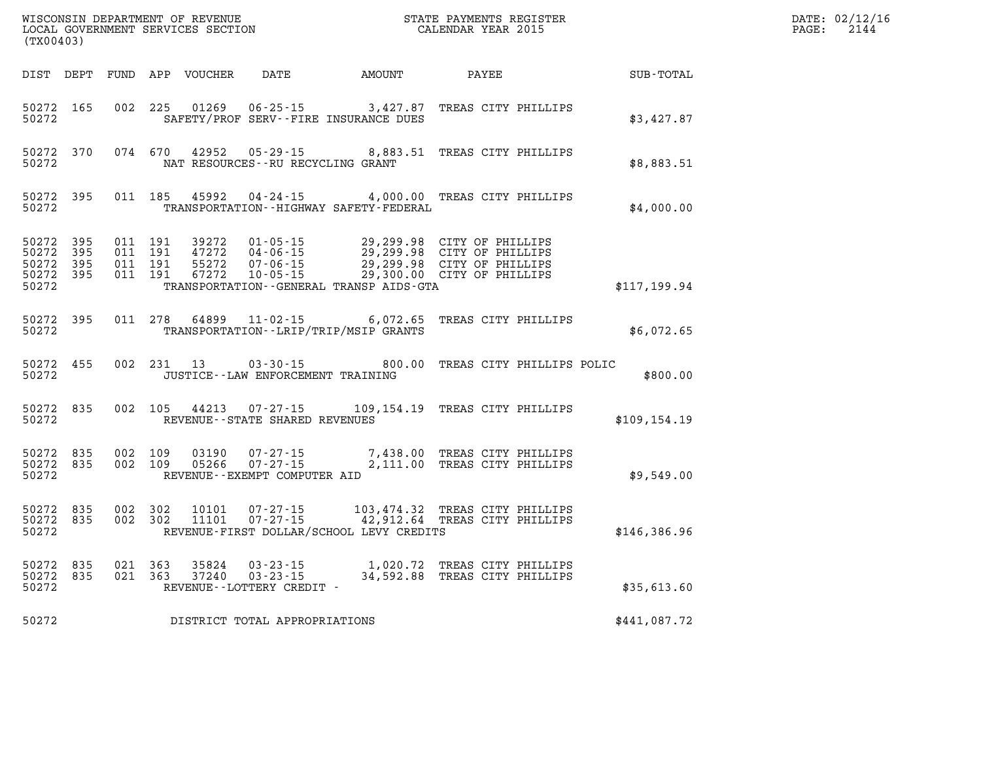| (TX00403)                                                 |                                |                                          |         |                |                                                        |                                             | WISCONSIN DEPARTMENT OF REVENUE<br>LOCAL GOVERNMENT SERVICES SECTION TERM CONFINENTS REGISTER<br>CALENDAR YEAR 2015 |  | DATE: 02/12/16<br>2144<br>PAGE: |  |
|-----------------------------------------------------------|--------------------------------|------------------------------------------|---------|----------------|--------------------------------------------------------|---------------------------------------------|---------------------------------------------------------------------------------------------------------------------|--|---------------------------------|--|
|                                                           |                                |                                          |         |                |                                                        | DIST DEPT FUND APP VOUCHER DATE AMOUNT      | PAYEE                                                                                                               |  | SUB-TOTAL                       |  |
| 50272 165<br>50272                                        |                                | 002 225                                  |         | 01269          | $06 - 25 - 15$                                         | SAFETY/PROF SERV--FIRE INSURANCE DUES       | 3,427.87 TREAS CITY PHILLIPS                                                                                        |  | \$3,427.87                      |  |
| 50272                                                     | 50272 370                      |                                          |         |                | NAT RESOURCES - - RU RECYCLING GRANT                   |                                             | 074 670 42952 05-29-15 8,883.51 TREAS CITY PHILLIPS                                                                 |  | \$8,883.51                      |  |
| 50272 395<br>50272                                        |                                |                                          | 011 185 |                |                                                        | TRANSPORTATION - - HIGHWAY SAFETY - FEDERAL | 45992 04-24-15 4,000.00 TREAS CITY PHILLIPS                                                                         |  | \$4,000.00                      |  |
| 50272 395<br>50272 395<br>50272 395<br>50272 395<br>50272 |                                | 011 191<br>011 191<br>011 191<br>011 191 |         |                |                                                        | TRANSPORTATION--GENERAL TRANSP AIDS-GTA     | 39272  01-05-15  29,299.98  CITY OF PHILLIPS                                                                        |  | \$117,199.94                    |  |
| 50272 395<br>50272                                        |                                |                                          |         |                |                                                        | TRANSPORTATION - - LRIP/TRIP/MSIP GRANTS    | 011 278 64899 11-02-15 6,072.65 TREAS CITY PHILLIPS                                                                 |  | \$6,072.65                      |  |
| 50272 455<br>50272                                        |                                |                                          |         | 002 231 13     | JUSTICE - - LAW ENFORCEMENT TRAINING                   |                                             | 03-30-15 800.00 TREAS CITY PHILLIPS POLIC                                                                           |  | \$800.00                        |  |
| 50272 835<br>50272                                        |                                |                                          |         | 002 105 44213  | REVENUE - - STATE SHARED REVENUES                      |                                             | 07-27-15 109,154.19 TREAS CITY PHILLIPS                                                                             |  | \$109, 154.19                   |  |
| 50272                                                     | 50272 835 002 109<br>50272 835 | 002 109                                  |         |                | $05266$ $07 - 27 - 15$<br>REVENUE--EXEMPT COMPUTER AID |                                             | 03190  07-27-15  7,438.00 TREAS CITY PHILLIPS<br>2,111.00 TREAS CITY PHILLIPS                                       |  | \$9,549.00                      |  |
| 50272 835<br>50272 835<br>50272                           |                                | 002 302<br>002 302                       |         | 10101<br>11101 | 07-27-15<br>$07 - 27 - 15$                             | REVENUE-FIRST DOLLAR/SCHOOL LEVY CREDITS    | 103,474.32 TREAS CITY PHILLIPS<br>42,912.64 TREAS CITY PHILLIPS                                                     |  | \$146,386.96                    |  |
| 50272 835<br>50272 835<br>50272                           |                                | 021 363<br>021 363                       |         | 35824<br>37240 | REVENUE--LOTTERY CREDIT -                              |                                             | 03-23-15 1,020.72 TREAS CITY PHILLIPS<br>03-23-15 34,592.88 TREAS CITY PHILLIPS                                     |  | \$35,613.60                     |  |
| 50272                                                     |                                |                                          |         |                | DISTRICT TOTAL APPROPRIATIONS                          |                                             |                                                                                                                     |  | \$441,087.72                    |  |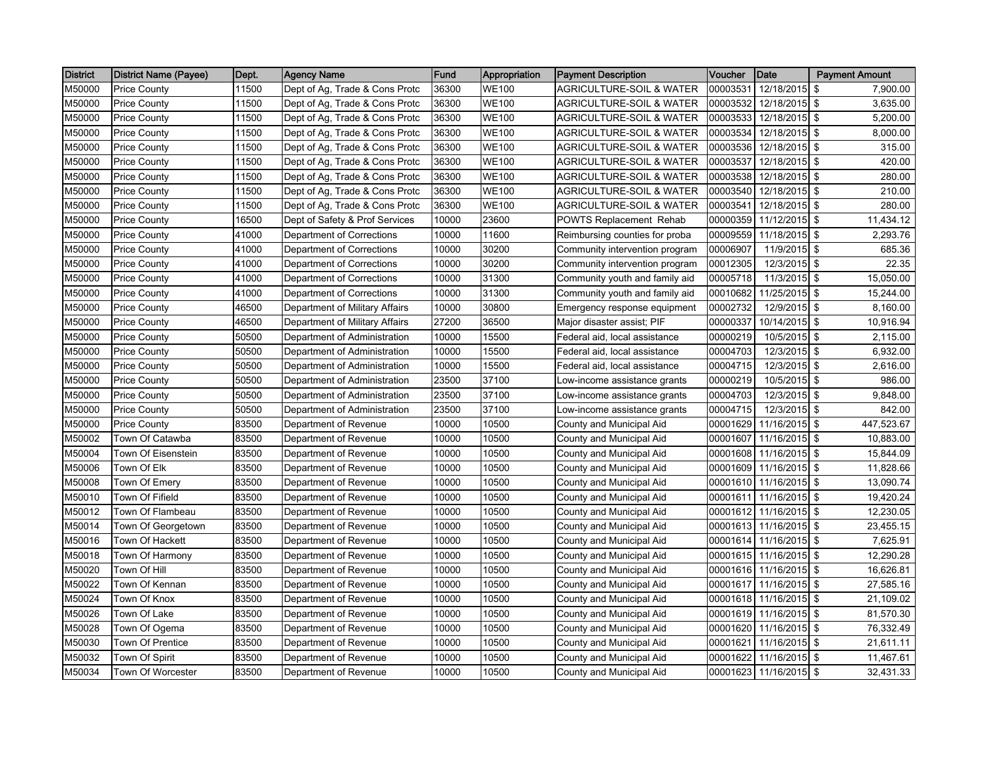| <b>District</b> | <b>District Name (Payee)</b> | Dept. | <b>Agency Name</b>             | Fund  | Appropriation | <b>Payment Description</b>          | <b>Voucher</b> | Date            | <b>Payment Amount</b> |
|-----------------|------------------------------|-------|--------------------------------|-------|---------------|-------------------------------------|----------------|-----------------|-----------------------|
| M50000          | <b>Price County</b>          | 11500 | Dept of Ag, Trade & Cons Protc | 36300 | <b>WE100</b>  | <b>AGRICULTURE-SOIL &amp; WATER</b> | 00003531       | 12/18/2015 \$   | 7,900.00              |
| M50000          | <b>Price County</b>          | 11500 | Dept of Ag, Trade & Cons Protc | 36300 | <b>WE100</b>  | <b>AGRICULTURE-SOIL &amp; WATER</b> | 00003532       | 12/18/2015 \$   | 3,635.00              |
| M50000          | <b>Price County</b>          | 11500 | Dept of Ag, Trade & Cons Protc | 36300 | <b>WE100</b>  | <b>AGRICULTURE-SOIL &amp; WATER</b> | 00003533       | 12/18/2015 \$   | 5,200.00              |
| M50000          | <b>Price County</b>          | 11500 | Dept of Ag, Trade & Cons Protc | 36300 | <b>WE100</b>  | <b>AGRICULTURE-SOIL &amp; WATER</b> | 00003534       | 12/18/2015 \$   | 8,000.00              |
| M50000          | <b>Price County</b>          | 11500 | Dept of Ag, Trade & Cons Protc | 36300 | <b>WE100</b>  | <b>AGRICULTURE-SOIL &amp; WATER</b> | 00003536       | 12/18/2015 \$   | 315.00                |
| M50000          | <b>Price County</b>          | 11500 | Dept of Ag, Trade & Cons Protc | 36300 | <b>WE100</b>  | <b>AGRICULTURE-SOIL &amp; WATER</b> | 00003537       | 12/18/2015 \$   | 420.00                |
| M50000          | <b>Price County</b>          | 11500 | Dept of Ag, Trade & Cons Protc | 36300 | <b>WE100</b>  | <b>AGRICULTURE-SOIL &amp; WATER</b> | 00003538       | 12/18/2015 \$   | 280.00                |
| M50000          | <b>Price County</b>          | 11500 | Dept of Ag, Trade & Cons Protc | 36300 | <b>WE100</b>  | AGRICULTURE-SOIL & WATER            | 00003540       | 12/18/2015 \$   | 210.00                |
| M50000          | <b>Price County</b>          | 11500 | Dept of Ag, Trade & Cons Protc | 36300 | <b>WE100</b>  | AGRICULTURE-SOIL & WATER            | 00003541       | 12/18/2015 \$   | 280.00                |
| M50000          | <b>Price County</b>          | 16500 | Dept of Safety & Prof Services | 10000 | 23600         | <b>POWTS Replacement Rehab</b>      | 00000359       | 11/12/2015 \$   | 11,434.12             |
| M50000          | <b>Price County</b>          | 41000 | Department of Corrections      | 10000 | 11600         | Reimbursing counties for proba      | 00009559       | 11/18/2015 \$   | 2,293.76              |
| M50000          | <b>Price County</b>          | 41000 | Department of Corrections      | 10000 | 30200         | Community intervention program      | 00006907       | 11/9/2015 \$    | 685.36                |
| M50000          | <b>Price County</b>          | 41000 | Department of Corrections      | 10000 | 30200         | Community intervention program      | 00012305       | 12/3/2015 \$    | 22.35                 |
| M50000          | <b>Price County</b>          | 41000 | Department of Corrections      | 10000 | 31300         | Community youth and family aid      | 00005718       | $11/3/2015$ \$  | 15,050.00             |
| M50000          | <b>Price County</b>          | 41000 | Department of Corrections      | 10000 | 31300         | Community youth and family aid      | 00010682       | 11/25/2015 \$   | 15,244.00             |
| M50000          | <b>Price County</b>          | 46500 | Department of Military Affairs | 10000 | 30800         | Emergency response equipment        | 00002732       | 12/9/2015 \$    | 8,160.00              |
| M50000          | <b>Price County</b>          | 46500 | Department of Military Affairs | 27200 | 36500         | Major disaster assist; PIF          | 00000337       | 10/14/2015 \$   | 10,916.94             |
| M50000          | <b>Price County</b>          | 50500 | Department of Administration   | 10000 | 15500         | Federal aid, local assistance       | 00000219       | 10/5/2015 \$    | 2,115.00              |
| M50000          | <b>Price County</b>          | 50500 | Department of Administration   | 10000 | 15500         | Federal aid, local assistance       | 00004703       | 12/3/2015 \$    | 6,932.00              |
| M50000          | <b>Price County</b>          | 50500 | Department of Administration   | 10000 | 15500         | Federal aid, local assistance       | 00004715       | $12/3/2015$ \$  | 2,616.00              |
| M50000          | <b>Price County</b>          | 50500 | Department of Administration   | 23500 | 37100         | Low-income assistance grants        | 00000219       | 10/5/2015 \$    | 986.00                |
| M50000          | <b>Price County</b>          | 50500 | Department of Administration   | 23500 | 37100         | Low-income assistance grants        | 00004703       | 12/3/2015 \$    | 9,848.00              |
| M50000          | <b>Price County</b>          | 50500 | Department of Administration   | 23500 | 37100         | Low-income assistance grants        | 00004715       | $12/3/2015$ \$  | 842.00                |
| M50000          | <b>Price County</b>          | 83500 | Department of Revenue          | 10000 | 10500         | County and Municipal Aid            | 00001629       | 11/16/2015 \$   | 447,523.67            |
| M50002          | Town Of Catawba              | 83500 | Department of Revenue          | 10000 | 10500         | County and Municipal Aid            | 00001607       | 11/16/2015 \$   | 10,883.00             |
| M50004          | Town Of Eisenstein           | 83500 | Department of Revenue          | 10000 | 10500         | County and Municipal Aid            | 00001608       | 11/16/2015 \$   | 15,844.09             |
| M50006          | Town Of Elk                  | 83500 | Department of Revenue          | 10000 | 10500         | County and Municipal Aid            | 00001609       | 11/16/2015 \$   | 11,828.66             |
| M50008          | Town Of Emery                | 83500 | Department of Revenue          | 10000 | 10500         | County and Municipal Aid            | 00001610       | 11/16/2015 \$   | 13,090.74             |
| M50010          | Town Of Fifield              | 83500 | Department of Revenue          | 10000 | 10500         | County and Municipal Aid            | 00001611       | $11/16/2015$ \$ | 19,420.24             |
| M50012          | Town Of Flambeau             | 83500 | Department of Revenue          | 10000 | 10500         | County and Municipal Aid            | 00001612       | $11/16/2015$ \$ | 12,230.05             |
| M50014          | Town Of Georgetown           | 83500 | Department of Revenue          | 10000 | 10500         | County and Municipal Aid            | 00001613       | 11/16/2015 \$   | 23,455.15             |
| M50016          | Town Of Hackett              | 83500 | Department of Revenue          | 10000 | 10500         | County and Municipal Aid            | 00001614       | 11/16/2015 \$   | 7,625.91              |
| M50018          | Town Of Harmony              | 83500 | Department of Revenue          | 10000 | 10500         | County and Municipal Aid            | 00001615       | 11/16/2015 \$   | 12,290.28             |
| M50020          | Town Of Hill                 | 83500 | Department of Revenue          | 10000 | 10500         | County and Municipal Aid            | 00001616       | 11/16/2015 \$   | 16,626.81             |
| M50022          | Town Of Kennan               | 83500 | Department of Revenue          | 10000 | 10500         | County and Municipal Aid            | 00001617       | 11/16/2015 \$   | 27,585.16             |
| M50024          | Town Of Knox                 | 83500 | Department of Revenue          | 10000 | 10500         | County and Municipal Aid            | 00001618       | 11/16/2015 \$   | 21,109.02             |
| M50026          | Town Of Lake                 | 83500 | Department of Revenue          | 10000 | 10500         | County and Municipal Aid            | 00001619       | 11/16/2015 \$   | 81,570.30             |
| M50028          | Town Of Ogema                | 83500 | Department of Revenue          | 10000 | 10500         | County and Municipal Aid            | 00001620       | 11/16/2015 \$   | 76,332.49             |
| M50030          | Town Of Prentice             | 83500 | Department of Revenue          | 10000 | 10500         | County and Municipal Aid            | 00001621       | 11/16/2015 \$   | 21,611.11             |
| M50032          | Town Of Spirit               | 83500 | Department of Revenue          | 10000 | 10500         | County and Municipal Aid            | 00001622       | 11/16/2015 \$   | 11,467.61             |
| M50034          | Town Of Worcester            | 83500 | Department of Revenue          | 10000 | 10500         | County and Municipal Aid            | 00001623       | 11/16/2015 \$   | 32,431.33             |